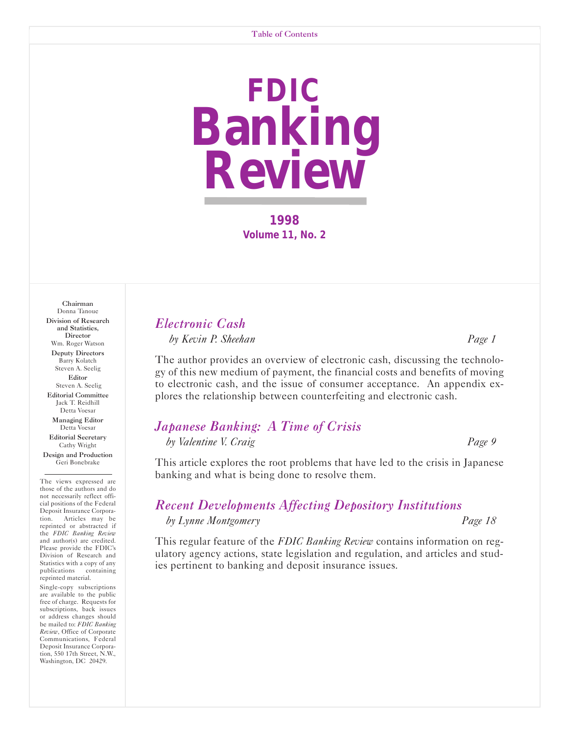## **FDIC Banking Review**

**1998 Volume 11, No. 2** 

#### Donna Tanoue Division of Research and Statistics, **Director** Wm. Roger Watson Deputy Directors Barry Kolatch Steven A. Seelig Editor Steven A. Seelig Editorial Committee Jack T. Reidhill Detta Voesar Managing Editor

Chairman

Detta Voesar Editorial Secretary Cathy Wright

Design and Production Geri Bonebrake

The views expressed are those of the authors and do not necessarily reflect official positions of the Federal Deposit Insurance Corporation. Articles may be reprinted or abstracted if the *FDIC Banking Review* and author(s) are credited. Please provide the FDIC's Division of Research and Statistics with a copy of any publications containing reprinted material.

Single-copy subscriptions are available to the public free of charge. Requests for subscriptions, back issues or address changes should be mailed to: *FDIC Banking Review*, Office of Corporate Communications, Federal Deposit Insurance Corporation, 550 17th Street, N.W., Washington, DC 20429.

## *[Electronic Cash](#page-1-0) by Kevin P. Sheehan Page 1*

The author provides an overview of electronic cash, discussing the technology of this new medium of payment, the financial costs and benefits of moving to electronic cash, and the issue of consumer acceptance. An appendix explores the relationship between counterfeiting and electronic cash.

## *[Japanese Banking: A Time of Crisis](#page-9-0) by Valentine V. Craig Page 9*

This article explores the root problems that have led to the crisis in Japanese banking and what is being done to resolve them.

## *[Recent Developments Affecting Depository Institutions](#page-18-0)*

#### *by Lynne Montgomery Page 18*

This regular feature of the *FDIC Banking Review* contains information on regulatory agency actions, state legislation and regulation, and articles and studies pertinent to banking and deposit insurance issues.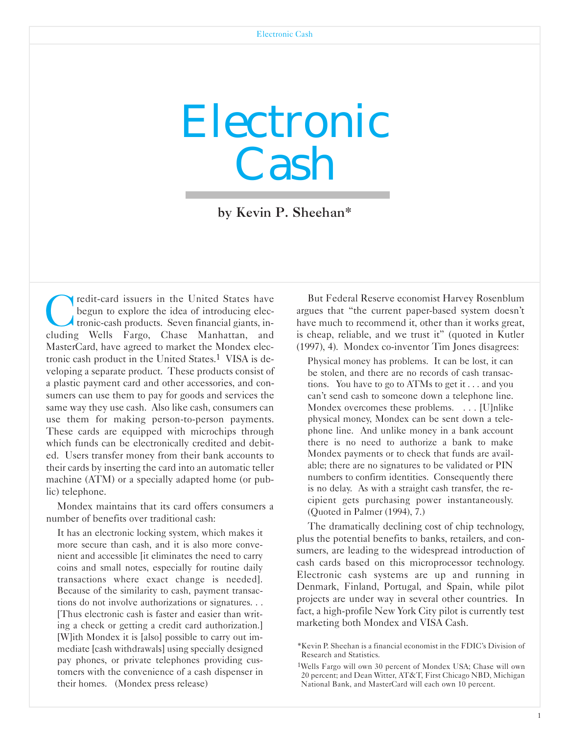# <span id="page-1-0"></span>Electronic Cash

by Kevin P. Sheehan\*

redit-card issuers in the United States have begun to explore the idea of introducing electronic-cash products. Seven financial giants, including Wells Fargo, Chase Manhattan, and MasterCard, have agreed to market the Mondex electronic cash product in the United States.1 VISA is developing a separate product. These products consist of a plastic payment card and other accessories, and consumers can use them to pay for goods and services the same way they use cash. Also like cash, consumers can use them for making person-to-person payments. These cards are equipped with microchips through which funds can be electronically credited and debited. Users transfer money from their bank accounts to their cards by inserting the card into an automatic teller machine (ATM) or a specially adapted home (or public) telephone.

Mondex maintains that its card offers consumers a number of benefits over traditional cash:

It has an electronic locking system, which makes it more secure than cash, and it is also more convenient and accessible [it eliminates the need to carry coins and small notes, especially for routine daily transactions where exact change is needed]. Because of the similarity to cash, payment transactions do not involve authorizations or signatures. . . [Thus electronic cash is faster and easier than writing a check or getting a credit card authorization.] [W]ith Mondex it is [also] possible to carry out immediate [cash withdrawals] using specially designed pay phones, or private telephones providing customers with the convenience of a cash dispenser in their homes. (Mondex press release)

But Federal Reserve economist Harvey Rosenblum argues that "the current paper-based system doesn't have much to recommend it, other than it works great, is cheap, reliable, and we trust it" (quoted in Kutler (1997), 4). Mondex co-inventor Tim Jones disagrees:

Physical money has problems. It can be lost, it can be stolen, and there are no records of cash transactions. You have to go to ATMs to get it . . . and you can't send cash to someone down a telephone line. Mondex overcomes these problems. . . . [U]nlike physical money, Mondex can be sent down a telephone line. And unlike money in a bank account there is no need to authorize a bank to make Mondex payments or to check that funds are available; there are no signatures to be validated or PIN numbers to confirm identities. Consequently there is no delay. As with a straight cash transfer, the recipient gets purchasing power instantaneously. (Quoted in Palmer (1994), 7.)

The dramatically declining cost of chip technology, plus the potential benefits to banks, retailers, and consumers, are leading to the widespread introduction of cash cards based on this microprocessor technology. Electronic cash systems are up and running in Denmark, Finland, Portugal, and Spain, while pilot projects are under way in several other countries. In fact, a high-profile New York City pilot is currently test marketing both Mondex and VISA Cash.

<sup>\*</sup>Kevin P. Sheehan is a financial economist in the FDIC's Division of Research and Statistics.

<sup>1</sup>Wells Fargo will own 30 percent of Mondex USA; Chase will own 20 percent; and Dean Witter, AT&T, First Chicago NBD, Michigan National Bank, and MasterCard will each own 10 percent.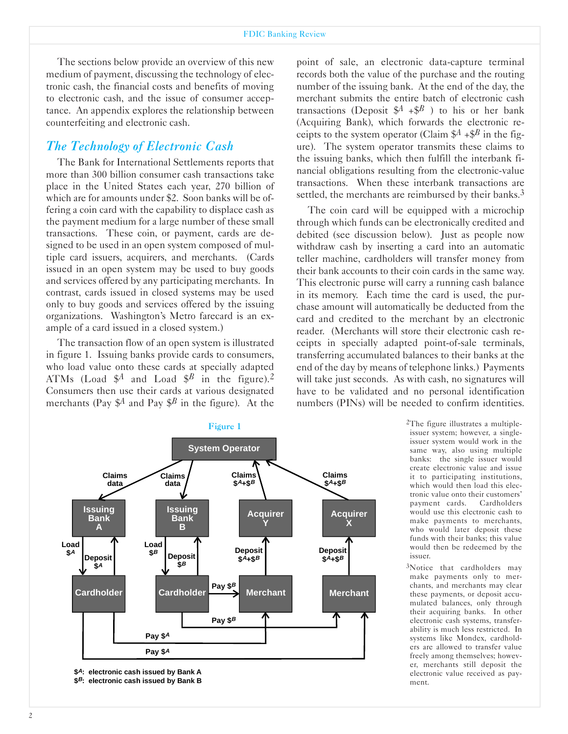The sections below provide an overview of this new medium of payment, discussing the technology of electronic cash, the financial costs and benefits of moving to electronic cash, and the issue of consumer acceptance. An appendix explores the relationship between counterfeiting and electronic cash.

## *The Technology of Electronic Cash*

The Bank for International Settlements reports that more than 300 billion consumer cash transactions take place in the United States each year, 270 billion of which are for amounts under \$2. Soon banks will be offering a coin card with the capability to displace cash as the payment medium for a large number of these small transactions. These coin, or payment, cards are designed to be used in an open system composed of multiple card issuers, acquirers, and merchants. (Cards issued in an open system may be used to buy goods and services offered by any participating merchants. In contrast, cards issued in closed systems may be used only to buy goods and services offered by the issuing organizations. Washington's Metro farecard is an example of a card issued in a closed system.)

The transaction flow of an open system is illustrated in figure 1. Issuing banks provide cards to consumers, who load value onto these cards at specially adapted ATMs (Load  $\mathcal{S}^A$  and Load  $\mathcal{S}^B$  in the figure).<sup>2</sup> Consumers then use their cards at various designated merchants (Pay  $\oint A$  and Pay  $\oint B$  in the figure). At the point of sale, an electronic data-capture terminal records both the value of the purchase and the routing number of the issuing bank. At the end of the day, the merchant submits the entire batch of electronic cash transactions (Deposit  $$^{A}$  + $$^{B}$ ) to his or her bank (Acquiring Bank), which forwards the electronic receipts to the system operator (Claim  $\mathcal{S}^A$  + $\mathcal{S}^B$  in the figure). The system operator transmits these claims to the issuing banks, which then fulfill the interbank financial obligations resulting from the electronic-value transactions. When these interbank transactions are settled, the merchants are reimbursed by their banks.<sup>3</sup>

The coin card will be equipped with a microchip through which funds can be electronically credited and debited (see discussion below). Just as people now withdraw cash by inserting a card into an automatic teller machine, cardholders will transfer money from their bank accounts to their coin cards in the same way. This electronic purse will carry a running cash balance in its memory. Each time the card is used, the purchase amount will automatically be deducted from the card and credited to the merchant by an electronic reader. (Merchants will store their electronic cash receipts in specially adapted point-of-sale terminals, transferring accumulated balances to their banks at the end of the day by means of telephone links.) Payments will take just seconds. As with cash, no signatures will have to be validated and no personal identification numbers (PINs) will be needed to confirm identities.



 **\$ : electronic cash issued by Bank A A**  \$<sup>B</sup>: electronic cash issued by Bank B

issuer system; however, a singleissuer system would work in the same way, also using multiple banks: the single issuer would create electronic value and issue it to participating institutions, which would then load this electronic value onto their customers' payment cards. Cardholders would use this electronic cash to make payments to merchants, who would later deposit these funds with their banks; this value would then be redeemed by the issuer.

2The figure illustrates a multiple-

3Notice that cardholders may make payments only to merchants, and merchants may clear these payments, or deposit accumulated balances, only through their acquiring banks. In other electronic cash systems, transferability is much less restricted. In systems like Mondex, cardholders are allowed to transfer value freely among themselves; however, merchants still deposit the electronic value received as payment.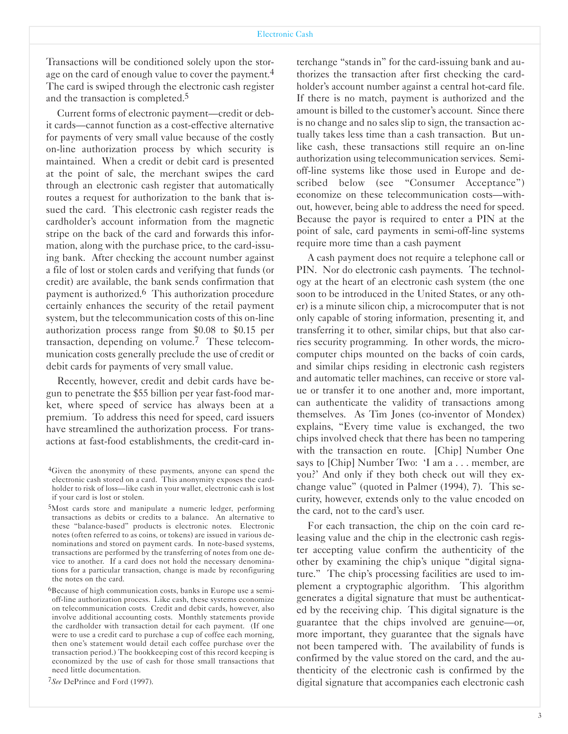Transactions will be conditioned solely upon the storage on the card of enough value to cover the payment.<sup>4</sup> The card is swiped through the electronic cash register and the transaction is completed.5

Current forms of electronic payment—credit or debit cards—cannot function as a cost-effective alternative for payments of very small value because of the costly on-line authorization process by which security is maintained. When a credit or debit card is presented at the point of sale, the merchant swipes the card through an electronic cash register that automatically routes a request for authorization to the bank that issued the card. This electronic cash register reads the cardholder's account information from the magnetic stripe on the back of the card and forwards this information, along with the purchase price, to the card-issuing bank. After checking the account number against a file of lost or stolen cards and verifying that funds (or credit) are available, the bank sends confirmation that payment is authorized.6 This authorization procedure certainly enhances the security of the retail payment system, but the telecommunication costs of this on-line authorization process range from \$0.08 to \$0.15 per transaction, depending on volume.7 These telecommunication costs generally preclude the use of credit or debit cards for payments of very small value.

Recently, however, credit and debit cards have begun to penetrate the \$55 billion per year fast-food market, where speed of service has always been at a premium. To address this need for speed, card issuers have streamlined the authorization process. For transactions at fast-food establishments, the credit-card in-

6Because of high communication costs, banks in Europe use a semioff-line authorization process. Like cash, these systems economize on telecommunication costs. Credit and debit cards, however, also involve additional accounting costs. Monthly statements provide the cardholder with transaction detail for each payment. (If one were to use a credit card to purchase a cup of coffee each morning, then one's statement would detail each coffee purchase over the transaction period.) The bookkeeping cost of this record keeping is economized by the use of cash for those small transactions that need little documentation.

7*See* DePrince and Ford (1997).

terchange "stands in" for the card-issuing bank and authorizes the transaction after first checking the cardholder's account number against a central hot-card file. If there is no match, payment is authorized and the amount is billed to the customer's account. Since there is no change and no sales slip to sign, the transaction actually takes less time than a cash transaction. But unlike cash, these transactions still require an on-line authorization using telecommunication services. Semioff-line systems like those used in Europe and described below (see "Consumer Acceptance") economize on these telecommunication costs-without, however, being able to address the need for speed. Because the payor is required to enter a PIN at the point of sale, card payments in semi-off-line systems require more time than a cash payment

A cash payment does not require a telephone call or PIN. Nor do electronic cash payments. The technology at the heart of an electronic cash system (the one soon to be introduced in the United States, or any other) is a minute silicon chip, a microcomputer that is not only capable of storing information, presenting it, and transferring it to other, similar chips, but that also carries security programming. In other words, the microcomputer chips mounted on the backs of coin cards, and similar chips residing in electronic cash registers and automatic teller machines, can receive or store value or transfer it to one another and, more important, can authenticate the validity of transactions among themselves. As Tim Jones (co-inventor of Mondex) explains, "Every time value is exchanged, the two chips involved check that there has been no tampering with the transaction en route. [Chip] Number One says to [Chip] Number Two: 'I am a . . . member, are you?' And only if they both check out will they exchange value" (quoted in Palmer (1994), 7). This security, however, extends only to the value encoded on the card, not to the card's user.

For each transaction, the chip on the coin card releasing value and the chip in the electronic cash register accepting value confirm the authenticity of the other by examining the chip's unique "digital signature." The chip's processing facilities are used to implement a cryptographic algorithm. This algorithm generates a digital signature that must be authenticated by the receiving chip. This digital signature is the guarantee that the chips involved are genuine-or, more important, they guarantee that the signals have not been tampered with. The availability of funds is confirmed by the value stored on the card, and the authenticity of the electronic cash is confirmed by the digital signature that accompanies each electronic cash

<sup>4</sup>Given the anonymity of these payments, anyone can spend the electronic cash stored on a card. This anonymity exposes the cardholder to risk of loss-like cash in your wallet, electronic cash is lost if your card is lost or stolen.

<sup>5</sup>Most cards store and manipulate a numeric ledger, performing transactions as debits or credits to a balance. An alternative to these "balance-based" products is electronic notes. Electronic notes (often referred to as coins, or tokens) are issued in various denominations and stored on payment cards. In note-based systems, transactions are performed by the transferring of notes from one device to another. If a card does not hold the necessary denominations for a particular transaction, change is made by reconfiguring the notes on the card.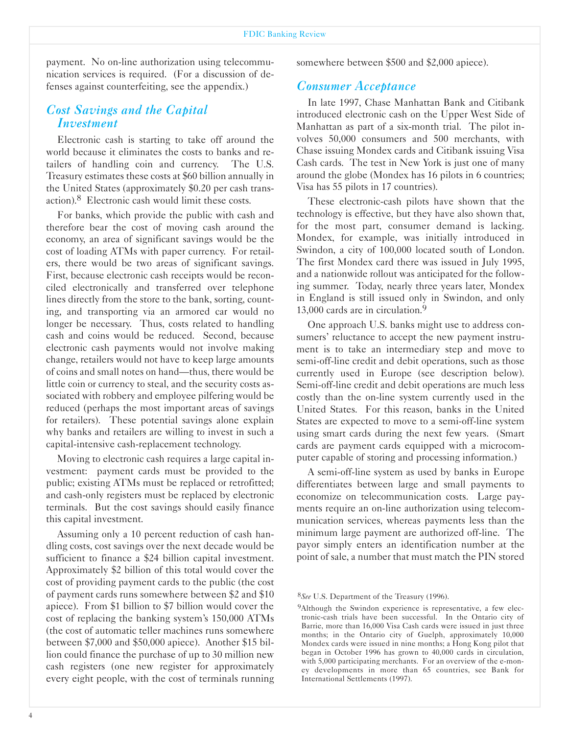payment. No on-line authorization using telecommunication services is required. (For a discussion of defenses against counterfeiting, see the appendix.)

## *Cost Savings and the Capital Investment*

Electronic cash is starting to take off around the world because it eliminates the costs to banks and retailers of handling coin and currency. The U.S. Treasury estimates these costs at \$60 billion annually in the United States (approximately \$0.20 per cash transaction).8 Electronic cash would limit these costs.

For banks, which provide the public with cash and therefore bear the cost of moving cash around the economy, an area of significant savings would be the cost of loading ATMs with paper currency. For retailers, there would be two areas of significant savings. First, because electronic cash receipts would be reconciled electronically and transferred over telephone lines directly from the store to the bank, sorting, counting, and transporting via an armored car would no longer be necessary. Thus, costs related to handling cash and coins would be reduced. Second, because electronic cash payments would not involve making change, retailers would not have to keep large amounts of coins and small notes on hand—thus, there would be little coin or currency to steal, and the security costs associated with robbery and employee pilfering would be reduced (perhaps the most important areas of savings for retailers). These potential savings alone explain why banks and retailers are willing to invest in such a capital-intensive cash-replacement technology.

Moving to electronic cash requires a large capital investment: payment cards must be provided to the public; existing ATMs must be replaced or retrofitted; and cash-only registers must be replaced by electronic terminals. But the cost savings should easily finance this capital investment.

Assuming only a 10 percent reduction of cash handling costs, cost savings over the next decade would be sufficient to finance a \$24 billion capital investment. Approximately \$2 billion of this total would cover the cost of providing payment cards to the public (the cost of payment cards runs somewhere between \$2 and \$10 apiece). From \$1 billion to \$7 billion would cover the cost of replacing the banking system's 150,000 ATMs (the cost of automatic teller machines runs somewhere between \$7,000 and \$50,000 apiece). Another \$15 billion could finance the purchase of up to 30 million new cash registers (one new register for approximately every eight people, with the cost of terminals running somewhere between \$500 and \$2,000 apiece).

## *Consumer Acceptance*

In late 1997, Chase Manhattan Bank and Citibank introduced electronic cash on the Upper West Side of Manhattan as part of a six-month trial. The pilot involves 50,000 consumers and 500 merchants, with Chase issuing Mondex cards and Citibank issuing Visa Cash cards. The test in New York is just one of many around the globe (Mondex has 16 pilots in 6 countries; Visa has 55 pilots in 17 countries).

These electronic-cash pilots have shown that the technology is effective, but they have also shown that, for the most part, consumer demand is lacking. Mondex, for example, was initially introduced in Swindon, a city of 100,000 located south of London. The first Mondex card there was issued in July 1995, and a nationwide rollout was anticipated for the following summer. Today, nearly three years later, Mondex in England is still issued only in Swindon, and only 13,000 cards are in circulation.<sup>9</sup>

One approach U.S. banks might use to address consumers' reluctance to accept the new payment instrument is to take an intermediary step and move to semi-off-line credit and debit operations, such as those currently used in Europe (see description below). Semi-off-line credit and debit operations are much less costly than the on-line system currently used in the United States. For this reason, banks in the United States are expected to move to a semi-off-line system using smart cards during the next few years. (Smart cards are payment cards equipped with a microcomputer capable of storing and processing information.)

A semi-off-line system as used by banks in Europe differentiates between large and small payments to economize on telecommunication costs. Large payments require an on-line authorization using telecommunication services, whereas payments less than the minimum large payment are authorized off-line. The payor simply enters an identification number at the point of sale, a number that must match the PIN stored

<sup>8</sup>*See* U.S. Department of the Treasury (1996).

<sup>9</sup>Although the Swindon experience is representative, a few electronic-cash trials have been successful. In the Ontario city of Barrie, more than 16,000 Visa Cash cards were issued in just three months; in the Ontario city of Guelph, approximately 10,000 Mondex cards were issued in nine months; a Hong Kong pilot that began in October 1996 has grown to 40,000 cards in circulation, with 5,000 participating merchants. For an overview of the e-money developments in more than 65 countries, see Bank for International Settlements (1997).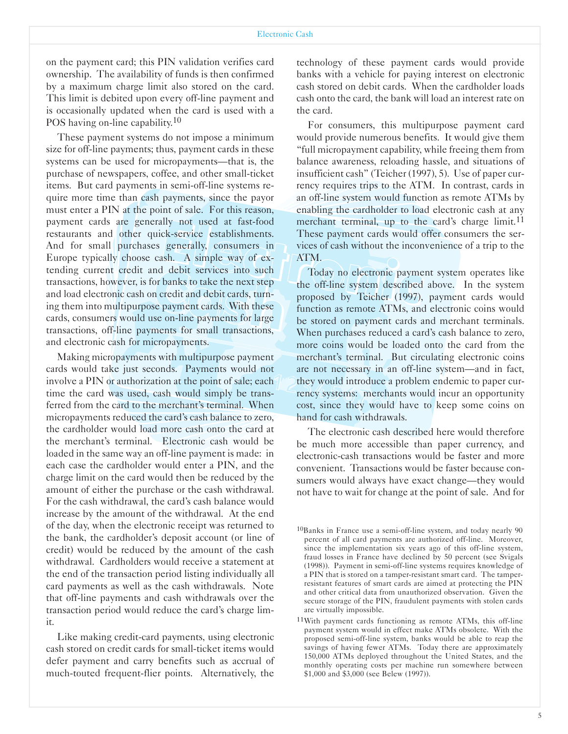on the payment card; this PIN validation verifies card ownership. The availability of funds is then confirmed by a maximum charge limit also stored on the card. This limit is debited upon every off-line payment and is occasionally updated when the card is used with a POS having on-line capability.<sup>10</sup>

These payment systems do not impose a minimum size for off-line payments; thus, payment cards in these systems can be used for micropayments—that is, the purchase of newspapers, coffee, and other small-ticket items. But card payments in semi-off-line systems require more time than cash payments, since the payor must enter a PIN at the point of sale. For this reason, payment cards are generally not used at fast-food restaurants and other quick-service establishments. And for small purchases generally, consumers in Europe typically choose cash. A simple way of extending current credit and debit services into such transactions, however, is for banks to take the next step and load electronic cash on credit and debit cards, turning them into multipurpose payment cards. With these cards, consumers would use on-line payments for large transactions, off-line payments for small transactions, and electronic cash for micropayments.

Making micropayments with multipurpose payment cards would take just seconds. Payments would not involve a PIN or authorization at the point of sale; each time the card was used, cash would simply be transferred from the card to the merchant's terminal. When micropayments reduced the card's cash balance to zero, the cardholder would load more cash onto the card at the merchant's terminal. Electronic cash would be loaded in the same way an off-line payment is made: in each case the cardholder would enter a PIN, and the charge limit on the card would then be reduced by the amount of either the purchase or the cash withdrawal. For the cash withdrawal, the card's cash balance would increase by the amount of the withdrawal. At the end of the day, when the electronic receipt was returned to the bank, the cardholder's deposit account (or line of credit) would be reduced by the amount of the cash withdrawal. Cardholders would receive a statement at the end of the transaction period listing individually all card payments as well as the cash withdrawals. Note that off-line payments and cash withdrawals over the transaction period would reduce the card's charge limit.

Like making credit-card payments, using electronic cash stored on credit cards for small-ticket items would defer payment and carry benefits such as accrual of much-touted frequent-flier points. Alternatively, the

technology of these payment cards would provide banks with a vehicle for paying interest on electronic cash stored on debit cards. When the cardholder loads cash onto the card, the bank will load an interest rate on the card.

For consumers, this multipurpose payment card would provide numerous benefits. It would give them "full micropayment capability, while freeing them from balance awareness, reloading hassle, and situations of insufficient cash" (Teicher (1997), 5). Use of paper currency requires trips to the ATM. In contrast, cards in an off-line system would function as remote ATMs by enabling the cardholder to load electronic cash at any merchant terminal, up to the card's charge limit.<sup>11</sup> These payment cards would offer consumers the services of cash without the inconvenience of a trip to the ATM.

Today no electronic payment system operates like the off-line system described above. In the system proposed by Teicher (1997), payment cards would function as remote ATMs, and electronic coins would be stored on payment cards and merchant terminals. When purchases reduced a card's cash balance to zero, more coins would be loaded onto the card from the merchant's terminal. But circulating electronic coins are not necessary in an off-line system—and in fact, they would introduce a problem endemic to paper currency systems: merchants would incur an opportunity cost, since they would have to keep some coins on hand for cash withdrawals.

The electronic cash described here would therefore be much more accessible than paper currency, and electronic-cash transactions would be faster and more convenient. Transactions would be faster because consumers would always have exact change—they would not have to wait for change at the point of sale. And for

 $10$ Banks in France use a semi-off-line system, and today nearly 90 percent of all card payments are authorized off-line. Moreover, since the implementation six years ago of this off-line system, fraud losses in France have declined by 50 percent (see Svigals (1998)). Payment in semi-off-line systems requires knowledge of a PIN that is stored on a tamper-resistant smart card. The tamperresistant features of smart cards are aimed at protecting the PIN and other critical data from unauthorized observation. Given the secure storage of the PIN, fraudulent payments with stolen cards are virtually impossible.

 $11$ With payment cards functioning as remote ATMs, this off-line payment system would in effect make ATMs obsolete. With the proposed semi-off-line system, banks would be able to reap the savings of having fewer ATMs. Today there are approximately 150,000 ATMs deployed throughout the United States, and the monthly operating costs per machine run somewhere between \$1,000 and \$3,000 (see Belew (1997)).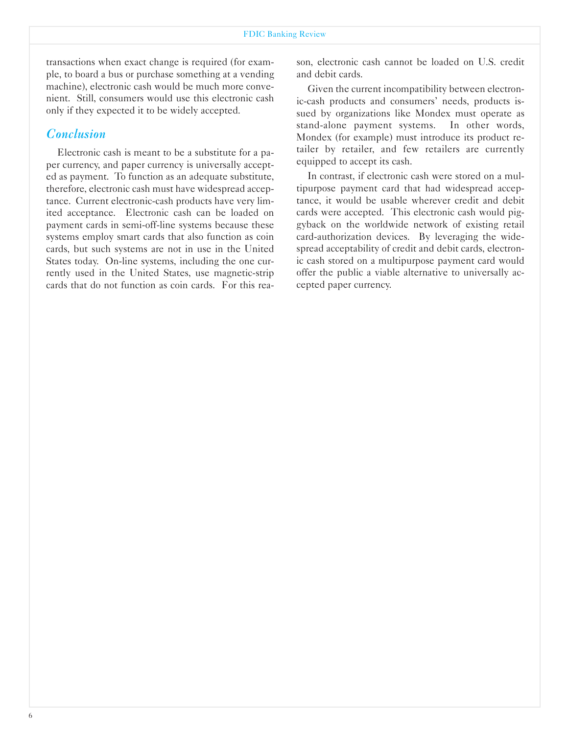transactions when exact change is required (for example, to board a bus or purchase something at a vending machine), electronic cash would be much more convenient. Still, consumers would use this electronic cash only if they expected it to be widely accepted.

#### *Conclusion*

Electronic cash is meant to be a substitute for a paper currency, and paper currency is universally accepted as payment. To function as an adequate substitute, therefore, electronic cash must have widespread acceptance. Current electronic-cash products have very limited acceptance. Electronic cash can be loaded on payment cards in semi-off-line systems because these systems employ smart cards that also function as coin cards, but such systems are not in use in the United States today. On-line systems, including the one currently used in the United States, use magnetic-strip cards that do not function as coin cards. For this reason, electronic cash cannot be loaded on U.S. credit and debit cards.

Given the current incompatibility between electronic-cash products and consumers' needs, products issued by organizations like Mondex must operate as stand-alone payment systems. In other words, Mondex (for example) must introduce its product retailer by retailer, and few retailers are currently equipped to accept its cash.

In contrast, if electronic cash were stored on a multipurpose payment card that had widespread acceptance, it would be usable wherever credit and debit cards were accepted. This electronic cash would piggyback on the worldwide network of existing retail card-authorization devices. By leveraging the widespread acceptability of credit and debit cards, electronic cash stored on a multipurpose payment card would offer the public a viable alternative to universally accepted paper currency.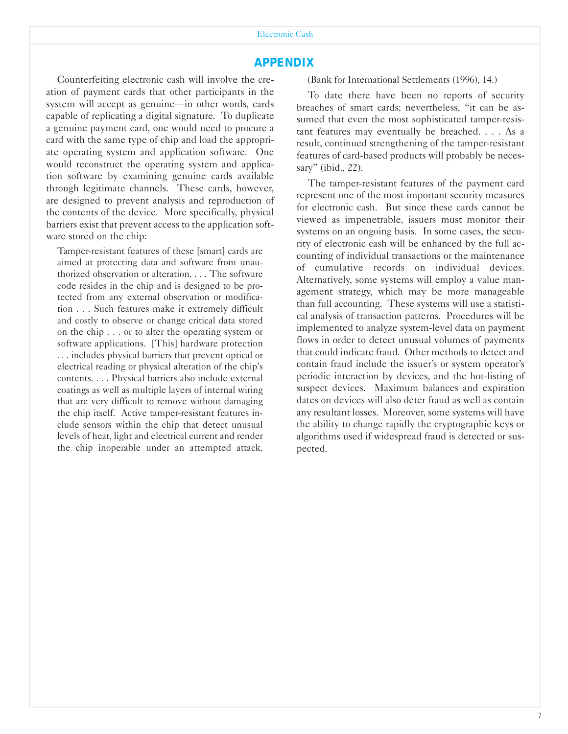## *APPENDIX*

Counterfeiting electronic cash will involve the creation of payment cards that other participants in the system will accept as genuine-in other words, cards capable of replicating a digital signature. To duplicate a genuine payment card, one would need to procure a card with the same type of chip and load the appropriate operating system and application software. One would reconstruct the operating system and application software by examining genuine cards available through legitimate channels. These cards, however, are designed to prevent analysis and reproduction of the contents of the device. More specifically, physical barriers exist that prevent access to the application software stored on the chip:

Tamper-resistant features of these [smart] cards are aimed at protecting data and software from unauthorized observation or alteration. . . . The software code resides in the chip and is designed to be protected from any external observation or modification . . . Such features make it extremely difficult and costly to observe or change critical data stored on the chip . . . or to alter the operating system or software applications. [This] hardware protection . . . includes physical barriers that prevent optical or electrical reading or physical alteration of the chip's contents. . . . Physical barriers also include external coatings as well as multiple layers of internal wiring that are very difficult to remove without damaging the chip itself. Active tamper-resistant features include sensors within the chip that detect unusual levels of heat, light and electrical current and render the chip inoperable under an attempted attack. (Bank for International Settlements (1996), 14.)

To date there have been no reports of security breaches of smart cards; nevertheless, "it can be assumed that even the most sophisticated tamper-resistant features may eventually be breached. . . . As a result, continued strengthening of the tamper-resistant features of card-based products will probably be necessary" (ibid., 22).

The tamper-resistant features of the payment card represent one of the most important security measures for electronic cash. But since these cards cannot be viewed as impenetrable, issuers must monitor their systems on an ongoing basis. In some cases, the security of electronic cash will be enhanced by the full accounting of individual transactions or the maintenance of cumulative records on individual devices. Alternatively, some systems will employ a value management strategy, which may be more manageable than full accounting. These systems will use a statistical analysis of transaction patterns. Procedures will be implemented to analyze system-level data on payment flows in order to detect unusual volumes of payments that could indicate fraud. Other methods to detect and contain fraud include the issuer's or system operator's periodic interaction by devices, and the hot-listing of suspect devices. Maximum balances and expiration dates on devices will also deter fraud as well as contain any resultant losses. Moreover, some systems will have the ability to change rapidly the cryptographic keys or algorithms used if widespread fraud is detected or suspected.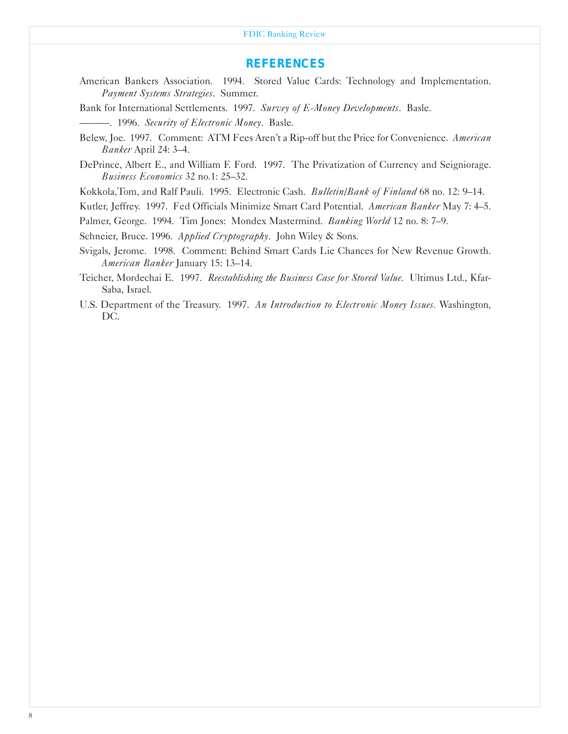#### FDIC Banking Review

#### *REFERENCES*

- American Bankers Association. 1994. Stored Value Cards: Technology and Implementation. *Payment Systems Strategies*. Summer.
- Bank for International Settlements. 1997. *Survey of E-Money Developments*. Basle.
- ---. 1996. *Security of Electronic Money*. Basle.
- Belew, Joe. 1997. Comment: ATM Fees Aren't a Rip-off but the Price for Convenience. American *Banker* April 24: 3-4.
- DePrince, Albert E., and William F. Ford. 1997. The Privatization of Currency and Seigniorage. *Business Economics* 32 no.1: 25-32.
- Kokkola,Tom, and Ralf Pauli. 1995. Electronic Cash. *Bulletin/Bank of Finland* 68 no. 12: 9-14.
- Kutler, Jeffrey. 1997. Fed Officials Minimize Smart Card Potential. *American Banker* May 7: 4-5.
- Palmer, George. 1994. Tim Jones: Mondex Mastermind. *Banking World* 12 no. 8: 7-9.
- Schneier, Bruce. 1996. *Applied Cryptography*. John Wiley & Sons.
- Svigals, Jerome. 1998. Comment: Behind Smart Cards Lie Chances for New Revenue Growth. *American Banker* January 15: 13-14.
- Teicher, Mordechai E. 1997. *Reestablishing the Business Case for Stored Value*. Ultimus Ltd., Kfar-Saba, Israel.
- U.S. Department of the Treasury. 1997. *An Introduction to Electronic Money Issues.* Washington, DC.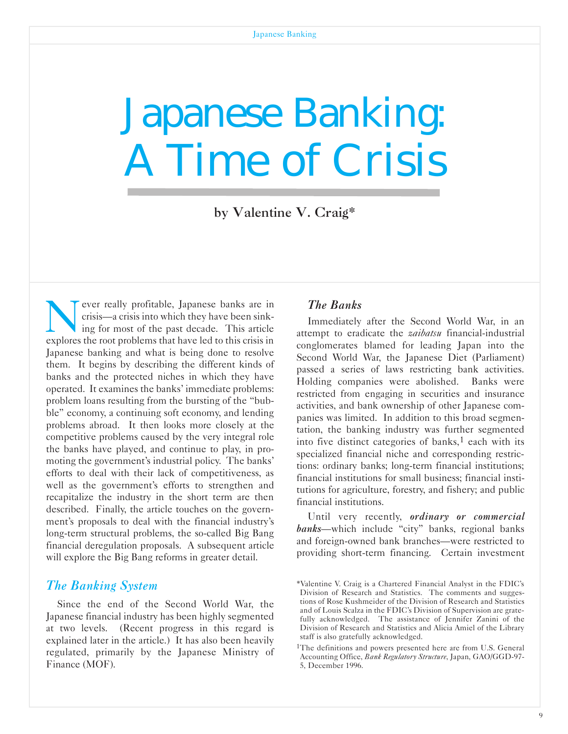# <span id="page-9-0"></span>Japanese Banking: A Time of Crisis

by Valentine V. Craig\*

ever really profitable, Japanese banks are in<br>crisis—a crisis into which they have been sink-<br>ing for most of the past decade. This article<br>explores the root problems that have led to this crisis in crisis-a crisis into which they have been sinking for most of the past decade. This article explores the root problems that have led to this crisis in Japanese banking and what is being done to resolve them. It begins by describing the different kinds of banks and the protected niches in which they have operated. It examines the banks' immediate problems: problem loans resulting from the bursting of the "bubble" economy, a continuing soft economy, and lending problems abroad. It then looks more closely at the competitive problems caused by the very integral role the banks have played, and continue to play, in promoting the government's industrial policy. The banks' efforts to deal with their lack of competitiveness, as well as the government's efforts to strengthen and recapitalize the industry in the short term are then described. Finally, the article touches on the government's proposals to deal with the financial industry's long-term structural problems, the so-called Big Bang financial deregulation proposals. A subsequent article will explore the Big Bang reforms in greater detail.

#### *The Banking System*

Since the end of the Second World War, the Japanese financial industry has been highly segmented at two levels. (Recent progress in this regard is explained later in the article.) It has also been heavily regulated, primarily by the Japanese Ministry of Finance (MOF).

### *The Banks*

Immediately after the Second World War, in an attempt to eradicate the *zaibatsu* financial-industrial conglomerates blamed for leading Japan into the Second World War, the Japanese Diet (Parliament) passed a series of laws restricting bank activities. Holding companies were abolished. Banks were restricted from engaging in securities and insurance activities, and bank ownership of other Japanese companies was limited. In addition to this broad segmentation, the banking industry was further segmented into five distinct categories of banks, $<sup>1</sup>$  each with its</sup> specialized financial niche and corresponding restrictions: ordinary banks; long-term financial institutions; financial institutions for small business; financial institutions for agriculture, forestry, and fishery; and public financial institutions.

Until very recently, *ordinary or commercial banks*-which include "city" banks, regional banks and foreign-owned bank branches-were restricted to providing short-term financing. Certain investment

<sup>\*</sup>Valentine V. Craig is a Chartered Financial Analyst in the FDIC's Division of Research and Statistics. The comments and suggestions of Rose Kushmeider of the Division of Research and Statistics and of Louis Scalza in the FDIC's Division of Supervision are gratefully acknowledged. The assistance of Jennifer Zanini of the Division of Research and Statistics and Alicia Amiel of the Library staff is also gratefully acknowledged.

<sup>1</sup>The definitions and powers presented here are from U.S. General Accounting Office, *Bank Regulatory Structure*, Japan, GAO/GGD-97-5, December 1996.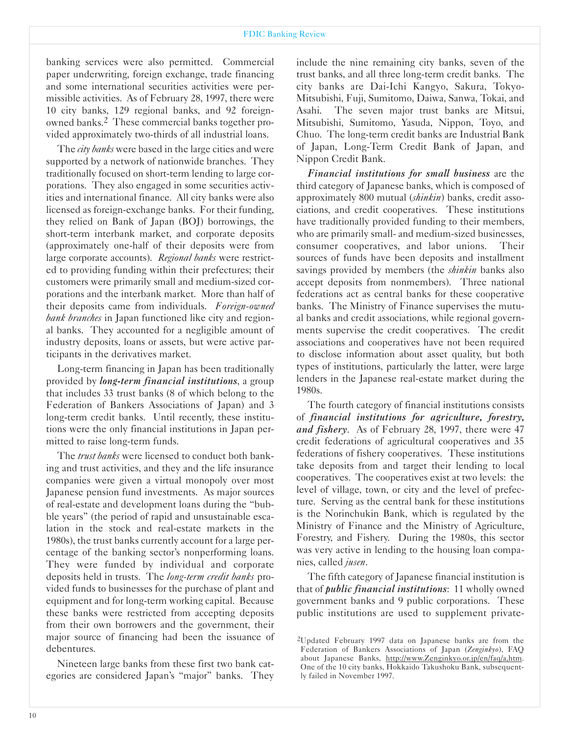banking services were also permitted. Commercial paper underwriting, foreign exchange, trade financing and some international securities activities were permissible activities. As of February 28, 1997, there were 10 city banks, 129 regional banks, and 92 foreignowned banks.2 These commercial banks together provided approximately two-thirds of all industrial loans.

The *city banks* were based in the large cities and were supported by a network of nationwide branches. They traditionally focused on short-term lending to large corporations. They also engaged in some securities activities and international finance. All city banks were also licensed as foreign-exchange banks. For their funding, they relied on Bank of Japan (BOJ) borrowings, the short-term interbank market, and corporate deposits (approximately onehalf of their deposits were from large corporate accounts). *Regional banks* were restricted to providing funding within their prefectures; their customers were primarily small and medium-sized corporations and the interbank market. More than half of their deposits came from individuals. *Foreign-owned bank branches* in Japan functioned like city and regional banks. They accounted for a negligible amount of industry deposits, loans or assets, but were active participants in the derivatives market.

Long-term financing in Japan has been traditionally provided by *long-term financial institutions*, a group that includes 33 trust banks (8 of which belong to the Federation of Bankers Associations of Japan) and 3 long-term credit banks. Until recently, these institutions were the only financial institutions in Japan permitted to raise long-term funds.

The *trust banks* were licensed to conduct both banking and trust activities, and they and the life insurance companies were given a virtual monopoly over most Japanese pension fund investments. As major sources of real-estate and development loans during the "bubble years" (the period of rapid and unsustainable escalation in the stock and real-estate markets in the 1980s), the trust banks currently account for a large percentage of the banking sector's nonperforming loans. They were funded by individual and corporate deposits held in trusts. The *long-term credit banks* provided funds to businesses for the purchase of plant and equipment and for long-term working capital. Because these banks were restricted from accepting deposits from their own borrowers and the government, their major source of financing had been the issuance of debentures.

Nineteen large banks from these first two bank categories are considered Japan's "major" banks. They

include the nine remaining city banks, seven of the trust banks, and all three long-term credit banks. The city banks are Dai-Ichi Kangyo, Sakura, Tokyo-Mitsubishi, Fuji, Sumitomo, Daiwa, Sanwa, Tokai, and Asahi. The seven major trust banks are Mitsui, Mitsubishi, Sumitomo, Yasuda, Nippon, Toyo, and Chuo. The long-term credit banks are Industrial Bank of Japan, Long-Term Credit Bank of Japan, and Nippon Credit Bank.

*Financial institutions for small business* are the third category of Japanese banks, which is composed of approximately 800 mutual (*shinkin*) banks, credit associations, and credit cooperatives. These institutions have traditionally provided funding to their members, who are primarily small- and medium-sized businesses, consumer cooperatives, and labor unions. Their sources of funds have been deposits and installment savings provided by members (the *shinkin* banks also accept deposits from nonmembers). Three national federations act as central banks for these cooperative banks. The Ministry of Finance supervises the mutual banks and credit associations, while regional governments supervise the credit cooperatives. The credit associations and cooperatives have not been required to disclose information about asset quality, but both types of institutions, particularly the latter, were large lenders in the Japanese real-estate market during the 1980s.

The fourth category of financial institutions consists of *financial institutions for agriculture, forestry, and fishery*. As of February 28, 1997, there were 47 credit federations of agricultural cooperatives and 35 federations of fishery cooperatives. These institutions take deposits from and target their lending to local cooperatives. The cooperatives exist at two levels: the level of village, town, or city and the level of prefecture. Serving as the central bank for these institutions is the Norinchukin Bank, which is regulated by the Ministry of Finance and the Ministry of Agriculture, Forestry, and Fishery. During the 1980s, this sector was very active in lending to the housing loan companies, called *jusen*.

The fifth category of Japanese financial institution is that of *public financial institutions*: 11 wholly owned government banks and 9 public corporations. These public institutions are used to supplement private-

<sup>2</sup>Updated February 1997 data on Japanese banks are from the Federation of Bankers Associations of Japan (*Zenginkyo*), FAQ about Japanese Banks, http://www.Zenginkyo.or.jp/en/faq/a,htm. One of the 10 city banks, Hokkaido Takushoku Bank, subsequently failed in November 1997.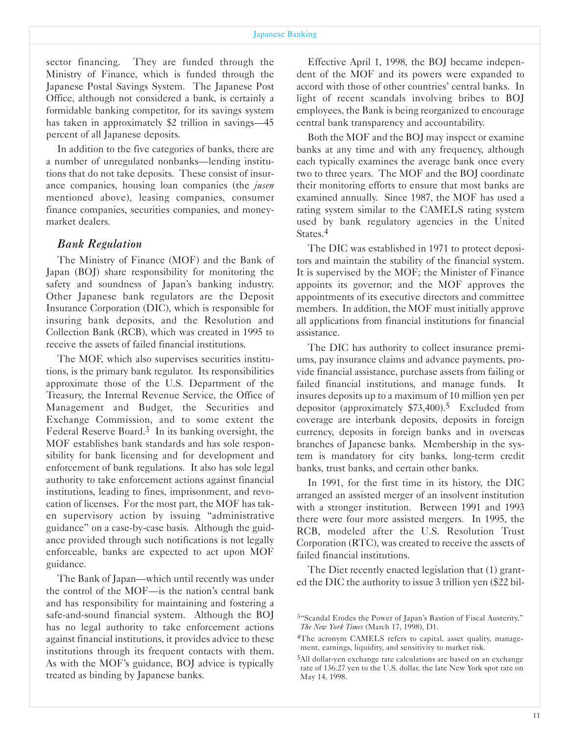#### Japanese Banking

sector financing. They are funded through the Ministry of Finance, which is funded through the Japanese Postal Savings System. The Japanese Post Office, although not considered a bank, is certainly a formidable banking competitor, for its savings system has taken in approximately \$2 trillion in savings-45 percent of all Japanese deposits.

In addition to the five categories of banks, there are a number of unregulated nonbanks—lending institutions that do not take deposits. These consist of insurance companies, housing loan companies (the *jusen* mentioned above), leasing companies, consumer finance companies, securities companies, and moneymarket dealers.

#### *Bank Regulation*

The Ministry of Finance (MOF) and the Bank of Japan (BOJ) share responsibility for monitoring the safety and soundness of Japan's banking industry. Other Japanese bank regulators are the Deposit Insurance Corporation (DIC), which is responsible for insuring bank deposits, and the Resolution and Collection Bank (RCB), which was created in 1995 to receive the assets of failed financial institutions.

The MOF, which also supervises securities institutions, is the primary bank regulator. Its responsibilities approximate those of the U.S. Department of the Treasury, the Internal Revenue Service, the Office of Management and Budget, the Securities and Exchange Commission, and to some extent the Federal Reserve Board.3 In its banking oversight, the MOF establishes bank standards and has sole responsibility for bank licensing and for development and enforcement of bank regulations. It also has sole legal authority to take enforcement actions against financial institutions, leading to fines, imprisonment, and revocation of licenses. For the most part, the MOF has taken supervisory action by issuing "administrative guidance" on a case-by-case basis. Although the guidance provided through such notifications is not legally enforceable, banks are expected to act upon MOF guidance.

The Bank of Japan—which until recently was under the control of the MOF-is the nation's central bank and has responsibility for maintaining and fostering a safe-and-sound financial system. Although the BOJ has no legal authority to take enforcement actions against financial institutions, it provides advice to these institutions through its frequent contacts with them. As with the MOF's guidance, BOJ advice is typically treated as binding by Japanese banks.

Effective April 1, 1998, the BOJ became independent of the MOF and its powers were expanded to accord with those of other countries' central banks. In light of recent scandals involving bribes to BOJ employees, the Bank is being reorganized to encourage central bank transparency and accountability.

Both the MOF and the BOJ may inspect or examine banks at any time and with any frequency, although each typically examines the average bank once every two to three years. The MOF and the BOJ coordinate their monitoring efforts to ensure that most banks are examined annually. Since 1987, the MOF has used a rating system similar to the CAMELS rating system used by bank regulatory agencies in the United States.4

The DIC was established in 1971 to protect depositors and maintain the stability of the financial system. It is supervised by the MOF; the Minister of Finance appoints its governor; and the MOF approves the appointments of its executive directors and committee members. In addition, the MOF must initially approve all applications from financial institutions for financial assistance.

The DIC has authority to collect insurance premiums, pay insurance claims and advance payments, provide financial assistance, purchase assets from failing or failed financial institutions, and manage funds. It insures deposits up to a maximum of 10 million yen per depositor (approximately  $$73,400$ ).<sup>5</sup> Excluded from coverage are interbank deposits, deposits in foreign currency, deposits in foreign banks and in overseas branches of Japanese banks. Membership in the system is mandatory for city banks, long-term credit banks, trust banks, and certain other banks.

In 1991, for the first time in its history, the DIC arranged an assisted merger of an insolvent institution with a stronger institution. Between 1991 and 1993 there were four more assisted mergers. In 1995, the RCB, modeled after the U.S. Resolution Trust Corporation (RTC), was created to receive the assets of failed financial institutions.

The Diet recently enacted legislation that (1) granted the DIC the authority to issue 3 trillion yen (\$22 bil-

<sup>3&</sup>quot;Scandal Erodes the Power of Japan's Bastion of Fiscal Austerity," *The New York Times* (March 17, 1998), D1.

<sup>4</sup>The acronym CAMELS refers to capital, asset quality, management, earnings, liquidity, and sensitivity to market risk.

<sup>&</sup>lt;sup>5</sup>All dollar-yen exchange rate calculations are based on an exchange rate of 136.27 yen to the U.S. dollar, the late New York spot rate on May 14, 1998.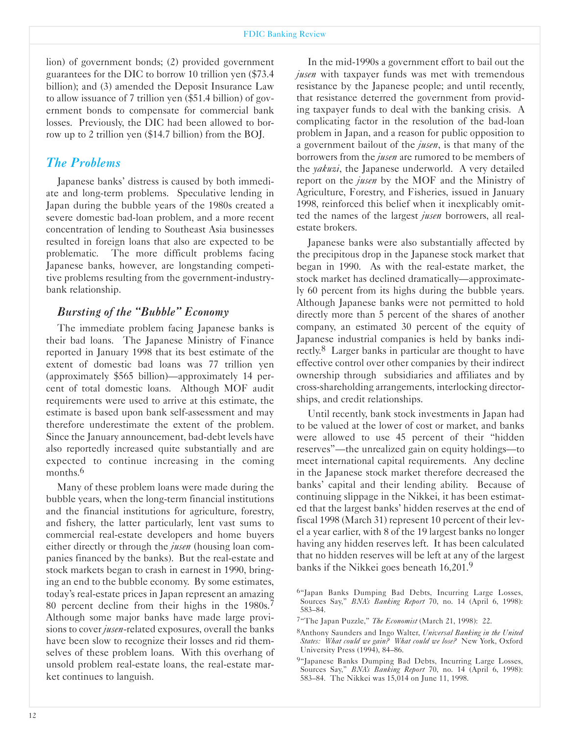lion) of government bonds; (2) provided government guarantees for the DIC to borrow 10 trillion yen (\$73.4 billion); and (3) amended the Deposit Insurance Law to allow issuance of 7 trillion yen (\$51.4 billion) of government bonds to compensate for commercial bank losses. Previously, the DIC had been allowed to borrow up to 2 trillion yen (\$14.7 billion) from the BOJ.

### *The Problems*

Japanese banks' distress is caused by both immediate and long-term problems. Speculative lending in Japan during the bubble years of the 1980s created a severe domestic bad-loan problem, and a more recent concentration of lending to Southeast Asia businesses resulted in foreign loans that also are expected to be problematic. The more difficult problems facing Japanese banks, however, are longstanding competitive problems resulting from the government-industrybank relationship.

#### *Bursting of the "Bubble" Economy*

The immediate problem facing Japanese banks is their bad loans. The Japanese Ministry of Finance reported in January 1998 that its best estimate of the extent of domestic bad loans was 77 trillion yen (approximately \$565 billion)-approximately 14 percent of total domestic loans. Although MOF audit requirements were used to arrive at this estimate, the estimate is based upon bank self-assessment and may therefore underestimate the extent of the problem. Since the January announcement, bad-debt levels have also reportedly increased quite substantially and are expected to continue increasing in the coming months.<sup>6</sup>

Many of these problem loans were made during the bubble years, when the long-term financial institutions and the financial institutions for agriculture, forestry, and fishery, the latter particularly, lent vast sums to commercial real-estate developers and home buyers either directly or through the *jusen* (housing loan companies financed by the banks). But the real-estate and stock markets began to crash in earnest in 1990, bringing an end to the bubble economy. By some estimates, today's real-estate prices in Japan represent an amazing 80 percent decline from their highs in the 1980s.7 Although some major banks have made large provisions to cover *jusen*-related exposures, overall the banks have been slow to recognize their losses and rid themselves of these problem loans. With this overhang of unsold problem real-estate loans, the real-estate market continues to languish.

In the mid-1990s a government effort to bail out the *jusen* with taxpayer funds was met with tremendous resistance by the Japanese people; and until recently, that resistance deterred the government from providing taxpayer funds to deal with the banking crisis. A complicating factor in the resolution of the bad-loan problem in Japan, and a reason for public opposition to a government bailout of the *jusen*, is that many of the borrowers from the *jusen* are rumored to be members of the *yakuzi*, the Japanese underworld. A very detailed report on the *jusen* by the MOF and the Ministry of Agriculture, Forestry, and Fisheries, issued in January 1998, reinforced this belief when it inexplicably omitted the names of the largest *jusen* borrowers, all realestate brokers.

Japanese banks were also substantially affected by the precipitous drop in the Japanese stock market that began in 1990. As with the real-estate market, the stock market has declined dramatically—approximately 60 percent from its highs during the bubble years. Although Japanese banks were not permitted to hold directly more than 5 percent of the shares of another company, an estimated 30 percent of the equity of Japanese industrial companies is held by banks indirectly.8 Larger banks in particular are thought to have effective control over other companies by their indirect ownership through subsidiaries and affiliates and by crossshareholding arrangements, interlocking directorships, and credit relationships.

Until recently, bank stock investments in Japan had to be valued at the lower of cost or market, and banks were allowed to use 45 percent of their "hidden reserves"—the unrealized gain on equity holdings—to meet international capital requirements. Any decline in the Japanese stock market therefore decreased the banks' capital and their lending ability. Because of continuing slippage in the Nikkei, it has been estimated that the largest banks' hidden reserves at the end of fiscal 1998 (March 31) represent 10 percent of their level a year earlier, with 8 of the 19 largest banks no longer having any hidden reserves left. It has been calculated that no hidden reserves will be left at any of the largest banks if the Nikkei goes beneath 16,201.9

7"The Japan Puzzle," *The Economist* (March 21, 1998): 22.

<sup>6&</sup>quot;Japan Banks Dumping Bad Debts, Incurring Large Losses, Sources Say," *BNA's Banking Report* 70, no. 14 (April 6, 1998): 583-84.

<sup>8</sup>Anthony Saunders and Ingo Walter, *Universal Banking in the United States: What could we gain? What could we lose?* New York, Oxford University Press (1994), 84-86.

<sup>&</sup>lt;sup>9</sup>"Japanese Banks Dumping Bad Debts, Incurring Large Losses, Sources Say," *BNA's Banking Report* 70, no. 14 (April 6, 1998): 583-84. The Nikkei was 15,014 on June 11, 1998.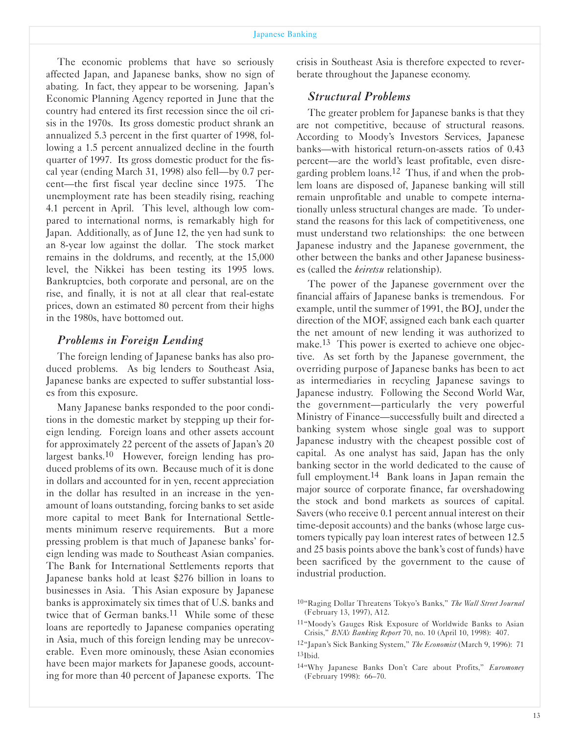The economic problems that have so seriously affected Japan, and Japanese banks, show no sign of abating. In fact, they appear to be worsening. Japan's Economic Planning Agency reported in June that the country had entered its first recession since the oil crisis in the 1970s. Its gross domestic product shrank an annualized 5.3 percent in the first quarter of 1998, following a 1.5 percent annualized decline in the fourth quarter of 1997. Its gross domestic product for the fiscal year (ending March 31, 1998) also fell—by 0.7 percent—the first fiscal year decline since 1975. The unemployment rate has been steadily rising, reaching 4.1 percent in April. This level, although low compared to international norms, is remarkably high for Japan. Additionally, as of June 12, the yen had sunk to an 8-year low against the dollar. The stock market remains in the doldrums, and recently, at the 15,000 level, the Nikkei has been testing its 1995 lows. Bankruptcies, both corporate and personal, are on the rise, and finally, it is not at all clear that real-estate prices, down an estimated 80 percent from their highs in the 1980s, have bottomed out.

#### *Problems in Foreign Lending*

The foreign lending of Japanese banks has also produced problems. As big lenders to Southeast Asia, Japanese banks are expected to suffer substantial losses from this exposure.

Many Japanese banks responded to the poor conditions in the domestic market by stepping up their foreign lending. Foreign loans and other assets account for approximately 22 percent of the assets of Japan's 20 largest banks.10 However, foreign lending has produced problems of its own. Because much of it is done in dollars and accounted for in yen, recent appreciation in the dollar has resulted in an increase in the yenamount of loans outstanding, forcing banks to set aside more capital to meet Bank for International Settlements minimum reserve requirements. But a more pressing problem is that much of Japanese banks' foreign lending was made to Southeast Asian companies. The Bank for International Settlements reports that Japanese banks hold at least \$276 billion in loans to businesses in Asia. This Asian exposure by Japanese banks is approximately six times that of U.S. banks and twice that of German banks.<sup>11</sup> While some of these loans are reportedly to Japanese companies operating in Asia, much of this foreign lending may be unrecoverable. Even more ominously, these Asian economies have been major markets for Japanese goods, accounting for more than 40 percent of Japanese exports. The

crisis in Southeast Asia is therefore expected to reverberate throughout the Japanese economy.

#### *Structural Problems*

The greater problem for Japanese banks is that they are not competitive, because of structural reasons. According to Moody's Investors Services, Japanese banks-with historical return-on-assets ratios of 0.43 percent-are the world's least profitable, even disregarding problem loans.<sup>12</sup> Thus, if and when the problem loans are disposed of, Japanese banking will still remain unprofitable and unable to compete internationally unless structural changes are made. To understand the reasons for this lack of competitiveness, one must understand two relationships: the one between Japanese industry and the Japanese government, the other between the banks and other Japanese businesses (called the *keiretsu* relationship).

The power of the Japanese government over the financial affairs of Japanese banks is tremendous. For example, until the summer of 1991, the BOJ, under the direction of the MOF, assigned each bank each quarter the net amount of new lending it was authorized to make.<sup>13</sup> This power is exerted to achieve one objective. As set forth by the Japanese government, the overriding purpose of Japanese banks has been to act as intermediaries in recycling Japanese savings to Japanese industry. Following the Second World War, the government-particularly the very powerful Ministry of Finance-successfully built and directed a banking system whose single goal was to support Japanese industry with the cheapest possible cost of capital. As one analyst has said, Japan has the only banking sector in the world dedicated to the cause of full employment.<sup>14</sup> Bank loans in Japan remain the major source of corporate finance, far overshadowing the stock and bond markets as sources of capital. Savers (who receive 0.1 percent annual interest on their time-deposit accounts) and the banks (whose large customers typically pay loan interest rates of between 12.5 and 25 basis points above the bank's cost of funds) have been sacrificed by the government to the cause of industrial production.

<sup>10&</sup>quot;Raging Dollar Threatens Tokyo's Banks," *The Wall Street Journal* (February 13, 1997), A12.

<sup>11&</sup>quot;Moody's Gauges Risk Exposure of Worldwide Banks to Asian Crisis," *BNA's Banking Report* 70, no. 10 (April 10, 1998): 407.

<sup>12&</sup>quot;Japan's Sick Banking System," *The Economist* (March 9, 1996): 71  $13$ Ibid.

<sup>14&</sup>quot;Why Japanese Banks Don't Care about Profits," *Euromoney* (February 1998): 66-70.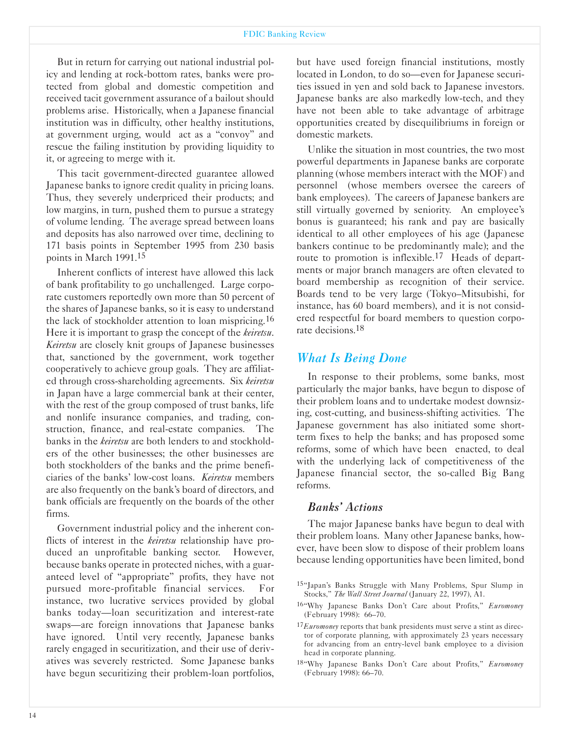#### FDIC Banking Review

But in return for carrying out national industrial policy and lending at rock-bottom rates, banks were protected from global and domestic competition and received tacit government assurance of a bailout should problems arise. Historically, when a Japanese financial institution was in difficulty, other healthy institutions, at government urging, would act as a "convoy" and rescue the failing institution by providing liquidity to it, or agreeing to merge with it.

This tacit government-directed guarantee allowed Japanese banks to ignore credit quality in pricing loans. Thus, they severely underpriced their products; and low margins, in turn, pushed them to pursue a strategy of volume lending. The average spread between loans and deposits has also narrowed over time, declining to 171 basis points in September 1995 from 230 basis points in March 1991.15

Inherent conflicts of interest have allowed this lack of bank profitability to go unchallenged. Large corporate customers reportedly own more than 50 percent of the shares of Japanese banks, so it is easy to understand the lack of stockholder attention to loan mispricing.16 Here it is important to grasp the concept of the *keiretsu*. *Keiretsu* are closely knit groups of Japanese businesses that, sanctioned by the government, work together cooperatively to achieve group goals. They are affiliated through cross-shareholding agreements. Six *keiretsu* in Japan have a large commercial bank at their center, with the rest of the group composed of trust banks, life and nonlife insurance companies, and trading, construction, finance, and real-estate companies. The banks in the *keiretsu* are both lenders to and stockholders of the other businesses; the other businesses are both stockholders of the banks and the prime beneficiaries of the banks' lowcost loans. *Keiretsu* members are also frequently on the bank's board of directors, and bank officials are frequently on the boards of the other firms.

Government industrial policy and the inherent conflicts of interest in the *keiretsu* relationship have produced an unprofitable banking sector. However, because banks operate in protected niches, with a guaranteed level of "appropriate" profits, they have not pursued more-profitable financial services. For instance, two lucrative services provided by global banks today—loan securitization and interest-rate swaps—are foreign innovations that Japanese banks have ignored. Until very recently, Japanese banks rarely engaged in securitization, and their use of derivatives was severely restricted. Some Japanese banks have begun securitizing their problem-loan portfolios,

but have used foreign financial institutions, mostly located in London, to do so—even for Japanese securities issued in yen and sold back to Japanese investors. Japanese banks are also markedly low-tech, and they have not been able to take advantage of arbitrage opportunities created by disequilibriums in foreign or domestic markets.

Unlike the situation in most countries, the two most powerful departments in Japanese banks are corporate planning (whose members interact with the MOF) and personnel (whose members oversee the careers of bank employees). The careers of Japanese bankers are still virtually governed by seniority. An employee's bonus is guaranteed; his rank and pay are basically identical to all other employees of his age (Japanese bankers continue to be predominantly male); and the route to promotion is inflexible.<sup>17</sup> Heads of departments or major branch managers are often elevated to board membership as recognition of their service. Boards tend to be very large (Tokyo-Mitsubishi, for instance, has 60 board members), and it is not considered respectful for board members to question corporate decisions.<sup>18</sup>

## *What Is Being Done*

In response to their problems, some banks, most particularly the major banks, have begun to dispose of their problem loans and to undertake modest downsizing, cost-cutting, and business-shifting activities. The Japanese government has also initiated some shortterm fixes to help the banks; and has proposed some reforms, some of which have been enacted, to deal with the underlying lack of competitiveness of the Japanese financial sector, the so-called Big Bang reforms.

#### *Banks' Actions*

The major Japanese banks have begun to deal with their problem loans. Many other Japanese banks, however, have been slow to dispose of their problem loans because lending opportunities have been limited, bond

<sup>15&</sup>quot;Japan's Banks Struggle with Many Problems, Spur Slump in Stocks," *The Wall Street Journal* (January 22, 1997), A1.

<sup>16&</sup>quot;Why Japanese Banks Don't Care about Profits," *Euromoney* (February 1998): 66-70.

<sup>17</sup>*Euromoney* reports that bank presidents must serve a stint as director of corporate planning, with approximately 23 years necessary for advancing from an entrylevel bank employee to a division head in corporate planning.

<sup>18&</sup>quot;Why Japanese Banks Don't Care about Profits," *Euromoney* (February 1998): 66-70.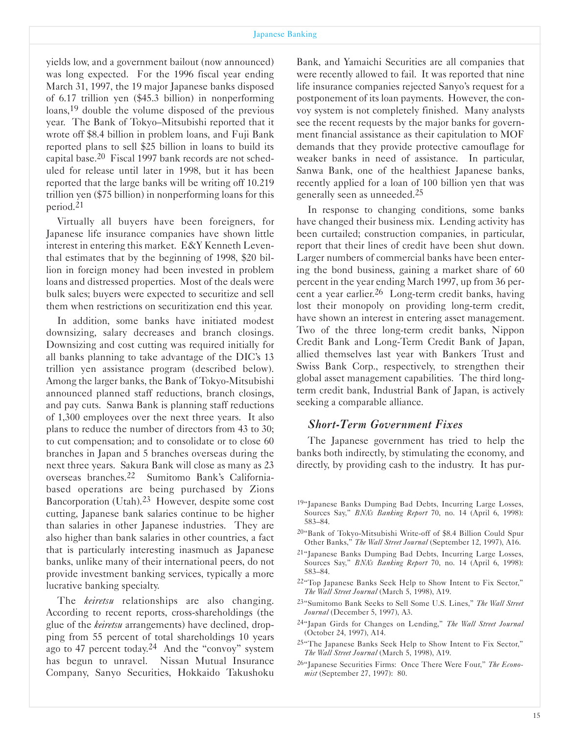yields low, and a government bailout (now announced) was long expected. For the 1996 fiscal year ending March 31, 1997, the 19 major Japanese banks disposed of 6.17 trillion yen (\$45.3 billion) in nonperforming loans,19 double the volume disposed of the previous year. The Bank of Tokyo-Mitsubishi reported that it wrote off \$8.4 billion in problem loans, and Fuji Bank reported plans to sell \$25 billion in loans to build its capital base.20 Fiscal 1997 bank records are not scheduled for release until later in 1998, but it has been reported that the large banks will be writing off 10.219 trillion yen (\$75 billion) in nonperforming loans for this period.21

Virtually all buyers have been foreigners, for Japanese life insurance companies have shown little interest in entering this market. E&Y Kenneth Leventhal estimates that by the beginning of 1998, \$20 billion in foreign money had been invested in problem loans and distressed properties. Most of the deals were bulk sales; buyers were expected to securitize and sell them when restrictions on securitization end this year.

In addition, some banks have initiated modest downsizing, salary decreases and branch closings. Downsizing and cost cutting was required initially for all banks planning to take advantage of the DIC's 13 trillion yen assistance program (described below). Among the larger banks, the Bank of Tokyo-Mitsubishi announced planned staff reductions, branch closings, and pay cuts. Sanwa Bank is planning staff reductions of 1,300 employees over the next three years. It also plans to reduce the number of directors from 43 to 30; to cut compensation; and to consolidate or to close 60 branches in Japan and 5 branches overseas during the next three years. Sakura Bank will close as many as 23 overseas branches.22 Sumitomo Bank's Californiabased operations are being purchased by Zions Bancorporation (Utah).23 However, despite some cost cutting, Japanese bank salaries continue to be higher than salaries in other Japanese industries. They are also higher than bank salaries in other countries, a fact that is particularly interesting inasmuch as Japanese banks, unlike many of their international peers, do not provide investment banking services, typically a more lucrative banking specialty.

The *keiretsu* relationships are also changing. According to recent reports, cross-shareholdings (the glue of the *keiretsu* arrangements) have declined, dropping from 55 percent of total shareholdings 10 years ago to 47 percent today.<sup>24</sup> And the "convoy" system has begun to unravel. Nissan Mutual Insurance Company, Sanyo Securities, Hokkaido Takushoku Bank, and Yamaichi Securities are all companies that were recently allowed to fail. It was reported that nine life insurance companies rejected Sanyo's request for a postponement of its loan payments. However, the convoy system is not completely finished. Many analysts see the recent requests by the major banks for government financial assistance as their capitulation to MOF demands that they provide protective camouflage for weaker banks in need of assistance. In particular, Sanwa Bank, one of the healthiest Japanese banks, recently applied for a loan of 100 billion yen that was generally seen as unneeded.25

In response to changing conditions, some banks have changed their business mix. Lending activity has been curtailed; construction companies, in particular, report that their lines of credit have been shut down. Larger numbers of commercial banks have been entering the bond business, gaining a market share of 60 percent in the year ending March 1997, up from 36 percent a year earlier.<sup>26</sup> Long-term credit banks, having lost their monopoly on providing long-term credit, have shown an interest in entering asset management. Two of the three long-term credit banks, Nippon Credit Bank and Long-Term Credit Bank of Japan, allied themselves last year with Bankers Trust and Swiss Bank Corp., respectively, to strengthen their global asset management capabilities. The third longterm credit bank, Industrial Bank of Japan, is actively seeking a comparable alliance.

#### *Short-Term Government Fixes*

The Japanese government has tried to help the banks both indirectly, by stimulating the economy, and directly, by providing cash to the industry. It has pur-

- 19"Japanese Banks Dumping Bad Debts, Incurring Large Losses, Sources Say," *BNA's Banking Report* 70, no. 14 (April 6, 1998): 583-84.
- 20"Bank of Tokyo-Mitsubishi Write-off of \$8.4 Billion Could Spur Other Banks," *The Wall Street Journal* (September 12, 1997), A16.
- 21"Japanese Banks Dumping Bad Debts, Incurring Large Losses, Sources Say," *BNA's Banking Report* 70, no. 14 (April 6, 1998): 583-84.
- <sup>22</sup>"Top Japanese Banks Seek Help to Show Intent to Fix Sector," *The Wall Street Journal* (March 5, 1998), A19.
- 23"Sumitomo Bank Seeks to Sell Some U.S. Lines," *The Wall Street Journal* (December 5, 1997), A3.
- 24"Japan Girds for Changes on Lending," *The Wall Street Journal* (October 24, 1997), A14.
- <sup>25</sup>"The Japanese Banks Seek Help to Show Intent to Fix Sector," *The Wall Street Journal* (March 5, 1998), A19.
- 26"Japanese Securities Firms: Once There Were Four," *The Economist* (September 27, 1997): 80.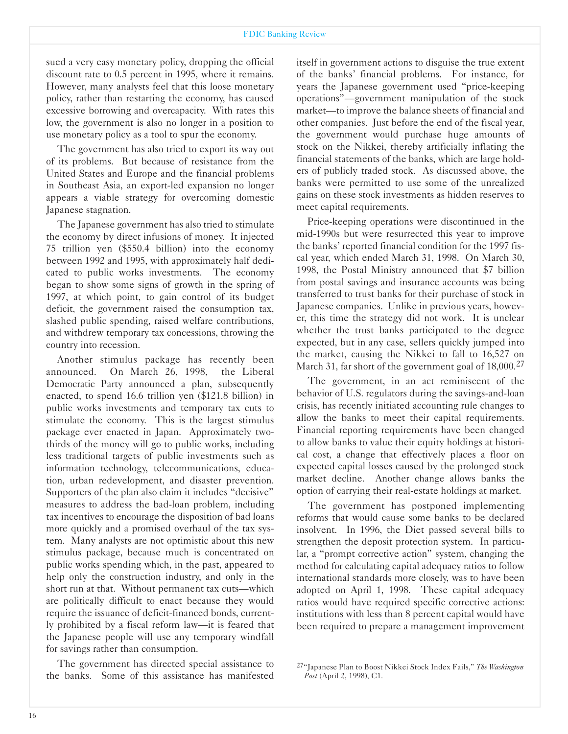sued a very easy monetary policy, dropping the official discount rate to 0.5 percent in 1995, where it remains. However, many analysts feel that this loose monetary policy, rather than restarting the economy, has caused excessive borrowing and overcapacity. With rates this low, the government is also no longer in a position to use monetary policy as a tool to spur the economy.

The government has also tried to export its way out of its problems. But because of resistance from the United States and Europe and the financial problems in Southeast Asia, an export-led expansion no longer appears a viable strategy for overcoming domestic Japanese stagnation.

The Japanese government has also tried to stimulate the economy by direct infusions of money. It injected 75 trillion yen (\$550.4 billion) into the economy between 1992 and 1995, with approximately half dedicated to public works investments. The economy began to show some signs of growth in the spring of 1997, at which point, to gain control of its budget deficit, the government raised the consumption tax, slashed public spending, raised welfare contributions, and withdrew temporary tax concessions, throwing the country into recession.

Another stimulus package has recently been announced. On March 26, 1998, the Liberal Democratic Party announced a plan, subsequently enacted, to spend 16.6 trillion yen (\$121.8 billion) in public works investments and temporary tax cuts to stimulate the economy. This is the largest stimulus package ever enacted in Japan. Approximately twothirds of the money will go to public works, including less traditional targets of public investments such as information technology, telecommunications, education, urban redevelopment, and disaster prevention. Supporters of the plan also claim it includes "decisive" measures to address the bad-loan problem, including tax incentives to encourage the disposition of bad loans more quickly and a promised overhaul of the tax system. Many analysts are not optimistic about this new stimulus package, because much is concentrated on public works spending which, in the past, appeared to help only the construction industry, and only in the short run at that. Without permanent tax cuts-which are politically difficult to enact because they would require the issuance of deficit-financed bonds, currently prohibited by a fiscal reform law-it is feared that the Japanese people will use any temporary windfall for savings rather than consumption.

The government has directed special assistance to the banks. Some of this assistance has manifested

itself in government actions to disguise the true extent of the banks' financial problems. For instance, for years the Japanese government used "price-keeping operations"-government manipulation of the stock market-to improve the balance sheets of financial and other companies. Just before the end of the fiscal year, the government would purchase huge amounts of stock on the Nikkei, thereby artificially inflating the financial statements of the banks, which are large holders of publicly traded stock. As discussed above, the banks were permitted to use some of the unrealized gains on these stock investments as hidden reserves to meet capital requirements.

Price-keeping operations were discontinued in the mid-1990s but were resurrected this year to improve the banks' reported financial condition for the 1997 fiscal year, which ended March 31, 1998. On March 30, 1998, the Postal Ministry announced that \$7 billion from postal savings and insurance accounts was being transferred to trust banks for their purchase of stock in Japanese companies. Unlike in previous years, however, this time the strategy did not work. It is unclear whether the trust banks participated to the degree expected, but in any case, sellers quickly jumped into the market, causing the Nikkei to fall to 16,527 on March 31, far short of the government goal of 18,000.<sup>27</sup>

The government, in an act reminiscent of the behavior of U.S. regulators during the savings-and-loan crisis, has recently initiated accounting rule changes to allow the banks to meet their capital requirements. Financial reporting requirements have been changed to allow banks to value their equity holdings at historical cost, a change that effectively places a floor on expected capital losses caused by the prolonged stock market decline. Another change allows banks the option of carrying their real-estate holdings at market.

The government has postponed implementing reforms that would cause some banks to be declared insolvent. In 1996, the Diet passed several bills to strengthen the deposit protection system. In particular, a "prompt corrective action" system, changing the method for calculating capital adequacy ratios to follow international standards more closely, was to have been adopted on April 1, 1998. These capital adequacy ratios would have required specific corrective actions: institutions with less than 8 percent capital would have been required to prepare a management improvement

<sup>27&</sup>quot;Japanese Plan to Boost Nikkei Stock Index Fails," *The Washington �ost* (April 2, 1998), C1.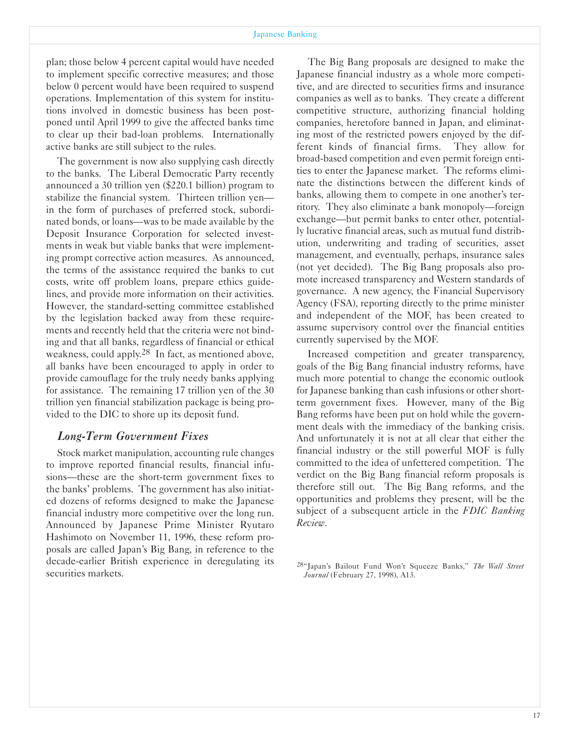plan; those below 4 percent capital would have needed to implement specific corrective measures; and those below 0 percent would have been required to suspend operations. Implementation of this system for institutions involved in domestic business has been postponed until April 1999 to give the affected banks time to clear up their bad-loan problems. Internationally active banks are still subject to the rules.

The government is now also supplying cash directly to the banks. The Liberal Democratic Party recently announced a 30 trillion yen (\$220.1 billion) program to stabilize the financial system. Thirteen trillion yen in the form of purchases of preferred stock, subordinated bonds, or loans—was to be made available by the Deposit Insurance Corporation for selected investments in weak but viable banks that were implementing prompt corrective action measures. As announced, the terms of the assistance required the banks to cut costs, write off problem loans, prepare ethics guidelines, and provide more information on their activities. However, the standard-setting committee established by the legislation backed away from these requirements and recently held that the criteria were not binding and that all banks, regardless of financial or ethical weakness, could apply.28 In fact, as mentioned above, all banks have been encouraged to apply in order to provide camouflage for the truly needy banks applying for assistance. The remaining 17 trillion yen of the 30 trillion yen financial stabilization package is being provided to the DIC to shore up its deposit fund.

#### *Long-Term Government Fixes*

Stock market manipulation, accounting rule changes to improve reported financial results, financial infusions—these are the short-term government fixes to the banks' problems. The government has also initiated dozens of reforms designed to make the Japanese financial industry more competitive over the long run. Announced by Japanese Prime Minister Ryutaro Hashimoto on November 11, 1996, these reform proposals are called Japan's Big Bang, in reference to the decade-earlier British experience in deregulating its securities markets.

The Big Bang proposals are designed to make the Japanese financial industry as a whole more competitive, and are directed to securities firms and insurance companies as well as to banks. They create a different competitive structure, authorizing financial holding companies, heretofore banned in Japan, and eliminating most of the restricted powers enjoyed by the different kinds of financial firms. They allow for broad-based competition and even permit foreign entities to enter the Japanese market. The reforms eliminate the distinctions between the different kinds of banks, allowing them to compete in one another's territory. They also eliminate a bank monopoly—foreign exchange—but permit banks to enter other, potentially lucrative financial areas, such as mutual fund distribution, underwriting and trading of securities, asset management, and eventually, perhaps, insurance sales (not yet decided). The Big Bang proposals also promote increased transparency and Western standards of governance. A new agency, the Financial Supervisory Agency (FSA), reporting directly to the prime minister and independent of the MOF, has been created to assume supervisory control over the financial entities currently supervised by the MOF.

Increased competition and greater transparency, goals of the Big Bang financial industry reforms, have much more potential to change the economic outlook for Japanese banking than cash infusions or other shortterm government fixes. However, many of the Big Bang reforms have been put on hold while the government deals with the immediacy of the banking crisis. And unfortunately it is not at all clear that either the financial industry or the still powerful MOF is fully committed to the idea of unfettered competition. The verdict on the Big Bang financial reform proposals is therefore still out. The Big Bang reforms, and the opportunities and problems they present, will be the subject of a subsequent article in the *FDIC Banking Review*.

<sup>28&</sup>quot;Japan's Bailout Fund Won't Squeeze Banks," *The Wall Street Journal* (February 27, 1998), A13.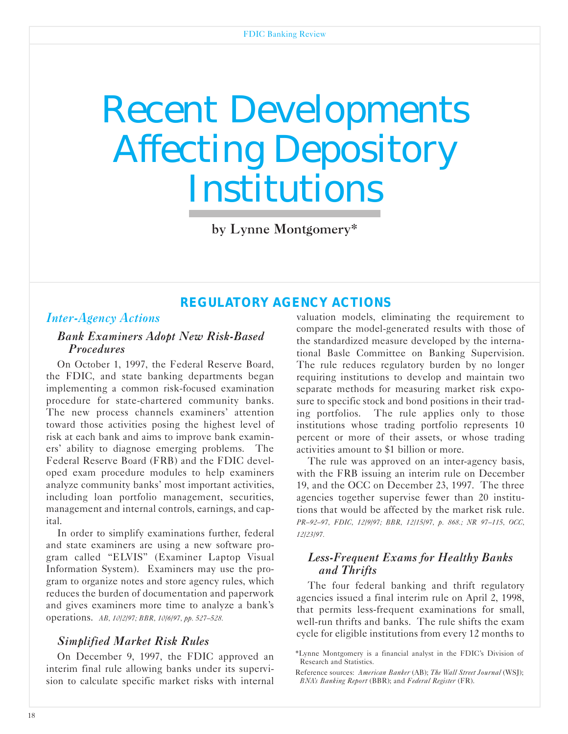## <span id="page-18-0"></span>Recent Developments Affecting Depository Institutions

by Lynne Montgomery\*

## *REGULATORY AGENCY ACTIONS*

## *Inter-Agency Actions*

#### *Bank Examiners Adopt New Risk-Based Procedures*

On October 1, 1997, the Federal Reserve Board, the FDIC, and state banking departments began implementing a common risk-focused examination procedure for state-chartered community banks. The new process channels examiners' attention toward those activities posing the highest level of risk at each bank and aims to improve bank examiners' ability to diagnose emerging problems. The Federal Reserve Board (FRB) and the FDIC developed exam procedure modules to help examiners analyze community banks' most important activities, including loan portfolio management, securities, management and internal controls, earnings, and capital.

In order to simplify examinations further, federal and state examiners are using a new software program called "ELVIS" (Examiner Laptop Visual Information System). Examiners may use the program to organize notes and store agency rules, which reduces the burden of documentation and paperwork and gives examiners more time to analyze a bank's operations. *AB, 10/2/97; BBR, 10/6/97, pp. 527-528.*

## *Simplified Market Risk Rules*

On December 9, 1997, the FDIC approved an interim final rule allowing banks under its supervision to calculate specific market risks with internal

valuation models, eliminating the requirement to compare the model-generated results with those of the standardized measure developed by the international Basle Committee on Banking Supervision. The rule reduces regulatory burden by no longer requiring institutions to develop and maintain two separate methods for measuring market risk exposure to specific stock and bond positions in their trading portfolios. The rule applies only to those institutions whose trading portfolio represents 10 percent or more of their assets, or whose trading activities amount to \$1 billion or more.

The rule was approved on an inter-agency basis, with the FRB issuing an interim rule on December 19, and the OCC on December 23, 1997. The three agencies together supervise fewer than 20 institutions that would be affected by the market risk rule. *PR-92-97, FDIC, 12/9/97; BBR, 12/15/97, p. 868.; NR 97-115, aCC, 12/23/97.* 

## *Less-Frequent Exams for Healthy Banks and Thrifts*

The four federal banking and thrift regulatory agencies issued a final interim rule on April 2, 1998, that permits lessfrequent examinations for small, well-run thrifts and banks. The rule shifts the exam cycle for eligible institutions from every 12 months to

<sup>\*</sup>Lynne Montgomery is a financial analyst in the FDIC's Division of Research and Statistics.

Reference sources: *American Banker* (AB); *The Wall Street Journal* (WSJ); *BNA's Banking Report* (BBR); and *Federal Register* (FR).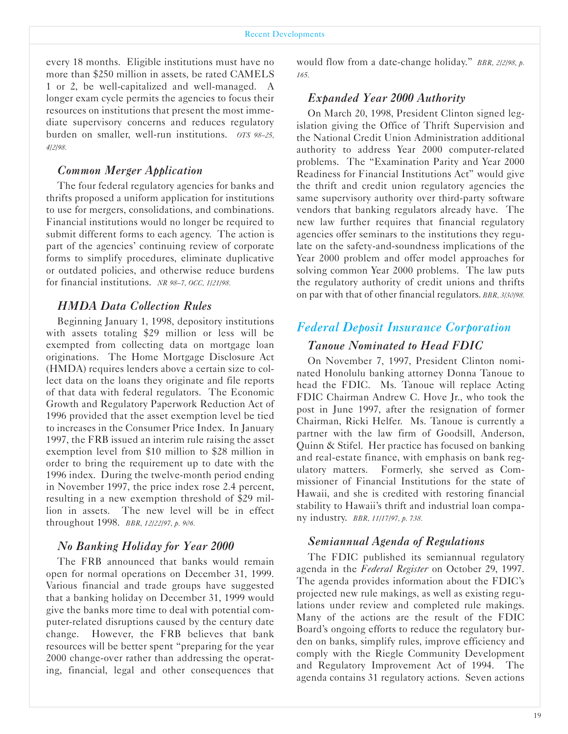every 18 months. Eligible institutions must have no more than \$250 million in assets, be rated CAMELS 1 or 2, be well-capitalized and well-managed. A longer exam cycle permits the agencies to focus their resources on institutions that present the most immediate supervisory concerns and reduces regulatory burden on smaller, well-run institutions. *OTS 98-25*, *4/2/98.*

#### *Common Merger Application*

The four federal regulatory agencies for banks and thrifts proposed a uniform application for institutions to use for mergers, consolidations, and combinations. Financial institutions would no longer be required to submit different forms to each agency. The action is part of the agencies' continuing review of corporate forms to simplify procedures, eliminate duplicative or outdated policies, and otherwise reduce burdens for financial institutions. *NR 98-7, aCC, 1/21/98.*

## *HMDA Data Collection Rules*

Beginning January 1, 1998, depository institutions with assets totaling \$29 million or less will be exempted from collecting data on mortgage loan originations. The Home Mortgage Disclosure Act (HMDA) requires lenders above a certain size to collect data on the loans they originate and file reports of that data with federal regulators. The Economic Growth and Regulatory Paperwork Reduction Act of 1996 provided that the asset exemption level be tied to increases in the Consumer Price Index. In January 1997, the FRB issued an interim rule raising the asset exemption level from \$10 million to \$28 million in order to bring the requirement up to date with the 1996 index. During the twelve-month period ending in November 1997, the price index rose 2.4 percent, resulting in a new exemption threshold of \$29 million in assets. The new level will be in effect throughout 1998. *BBR, 12/22/97, p. 906.*

#### *No Banking Holiday for Year 2000*

The FRB announced that banks would remain open for normal operations on December 31, 1999. Various financial and trade groups have suggested that a banking holiday on December 31, 1999 would give the banks more time to deal with potential computer-related disruptions caused by the century date change. However, the FRB believes that bank resources will be better spent "preparing for the year 2000 change-over rather than addressing the operating, financial, legal and other consequences that would flow from a date-change holiday." *BBR, 2/2/98, p. 165.*

#### *Expanded Year 2000 Authority*

On March 20, 1998, President Clinton signed legislation giving the Office of Thrift Supervision and the National Credit Union Administration additional authority to address Year 2000 computer-related problems. The "Examination Parity and Year 2000 Readiness for Financial Institutions Act" would give the thrift and credit union regulatory agencies the same supervisory authority over third-party software vendors that banking regulators already have. The new law further requires that financial regulatory agencies offer seminars to the institutions they regulate on the safety-and-soundness implications of the Year 2000 problem and offer model approaches for solving common Year 2000 problems. The law puts the regulatory authority of credit unions and thrifts on par with that of other financial regulators. *BBR, 3/30/98.* 

## *Federal Deposit Insurance Corporation*

#### *Tanoue Nominated to Head FDIC*

On November 7, 1997, President Clinton nominated Honolulu banking attorney Donna Tanoue to head the FDIC. Ms. Tanoue will replace Acting FDIC Chairman Andrew C. Hove Jr., who took the post in June 1997, after the resignation of former Chairman, Ricki Helfer. Ms. Tanoue is currently a partner with the law firm of Goodsill, Anderson, Quinn & Stifel. Her practice has focused on banking and real-estate finance, with emphasis on bank regulatory matters. Formerly, she served as Commissioner of Financial Institutions for the state of Hawaii, and she is credited with restoring financial stability to Hawaii's thrift and industrial loan company industry. *BBR, 11/17/97, p. 738.*

#### *Semiannual Agenda of Regulations*

The FDIC published its semiannual regulatory agenda in the *Federal Register* on October 29, 1997. The agenda provides information about the FDIC's projected new rule makings, as well as existing regulations under review and completed rule makings. Many of the actions are the result of the FDIC Board's ongoing efforts to reduce the regulatory burden on banks, simplify rules, improve efficiency and comply with the Riegle Community Development and Regulatory Improvement Act of 1994. The agenda contains 31 regulatory actions. Seven actions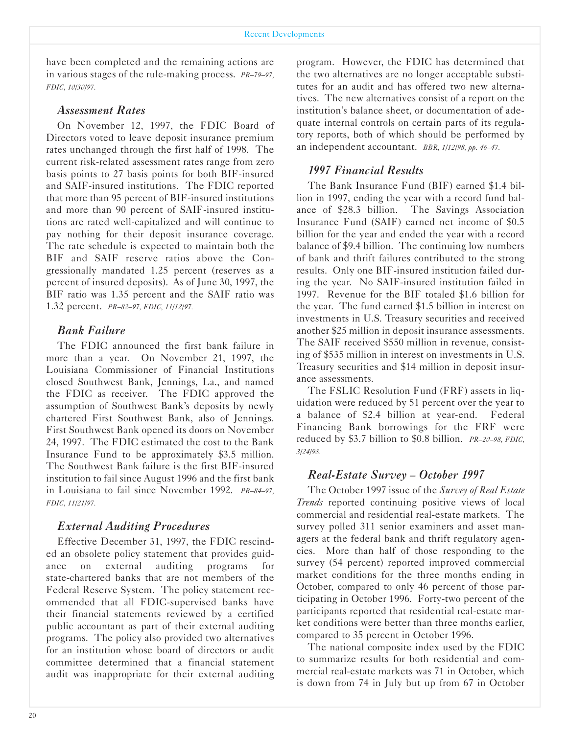have been completed and the remaining actions are in various stages of the rulemaking process. *PR-79-97, FDIC, 10/30/97.*

#### *Assessment Rates*

On November 12, 1997, the FDIC Board of Directors voted to leave deposit insurance premium rates unchanged through the first half of 1998. The current risk-related assessment rates range from zero basis points to 27 basis points for both BIF-insured and SAIF-insured institutions. The FDIC reported that more than 95 percent of BIF-insured institutions and more than 90 percent of SAIF-insured institutions are rated well-capitalized and will continue to pay nothing for their deposit insurance coverage. The rate schedule is expected to maintain both the BIF and SAIF reserve ratios above the Congressionally mandated 1.25 percent (reserves as a percent of insured deposits). As of June 30, 1997, the BIF ratio was 1.35 percent and the SAIF ratio was 1.32 percent. *PR-82-97, FDIC, 11/12/97.*

#### *Bank Failure*

The FDIC announced the first bank failure in more than a year. On November 21, 1997, the Louisiana Commissioner of Financial Institutions closed Southwest Bank, Jennings, La., and named the FDIC as receiver. The FDIC approved the assumption of Southwest Bank's deposits by newly chartered First Southwest Bank, also of Jennings. First Southwest Bank opened its doors on November 24, 1997. The FDIC estimated the cost to the Bank Insurance Fund to be approximately \$3.5 million. The Southwest Bank failure is the first BIF-insured institution to fail since August 1996 and the first bank in Louisiana to fail since November 1992. *PR-84-97, FDIC, 11/21/97.*

#### *External Auditing Procedures*

Effective December 31, 1997, the FDIC rescinded an obsolete policy statement that provides guidance on external auditing programs for state-chartered banks that are not members of the Federal Reserve System. The policy statement recommended that all FDIC-supervised banks have their financial statements reviewed by a certified public accountant as part of their external auditing programs. The policy also provided two alternatives for an institution whose board of directors or audit committee determined that a financial statement audit was inappropriate for their external auditing

program. However, the FDIC has determined that the two alternatives are no longer acceptable substitutes for an audit and has offered two new alternatives. The new alternatives consist of a report on the institution's balance sheet, or documentation of adequate internal controls on certain parts of its regulatory reports, both of which should be performed by an independent accountant. *BBR, 1/12/98, pp. 46-47.*

#### *1997 Financial Results*

The Bank Insurance Fund (BIF) earned \$1.4 billion in 1997, ending the year with a record fund balance of \$28.3 billion. The Savings Association Insurance Fund (SAIF) earned net income of \$0.5 billion for the year and ended the year with a record balance of \$9.4 billion. The continuing low numbers of bank and thrift failures contributed to the strong results. Only one BIF-insured institution failed during the year. No SAIF-insured institution failed in 1997. Revenue for the BIF totaled \$1.6 billion for the year. The fund earned \$1.5 billion in interest on investments in U.S. Treasury securities and received another \$25 million in deposit insurance assessments. The SAIF received \$550 million in revenue, consisting of \$535 million in interest on investments in U.S. Treasury securities and \$14 million in deposit insurance assessments.

The FSLIC Resolution Fund (FRF) assets in liquidation were reduced by 51 percent over the year to a balance of \$2.4 billion at year-end. Federal Financing Bank borrowings for the FRF were reduced by \$3.7 billion to \$0.8 billion. *PR-20-98, FDIC, 3/24/98.*

#### *Real-Estate Survey - October 1997*

The October 1997 issue of the *Survey of Real Estate Trends* reported continuing positive views of local commercial and residential real-estate markets. The survey polled 311 senior examiners and asset managers at the federal bank and thrift regulatory agencies. More than half of those responding to the survey (54 percent) reported improved commercial market conditions for the three months ending in October, compared to only 46 percent of those participating in October 1996. Forty-two percent of the participants reported that residential real-estate market conditions were better than three months earlier, compared to 35 percent in October 1996.

The national composite index used by the FDIC to summarize results for both residential and commercial real-estate markets was 71 in October, which is down from 74 in July but up from 67 in October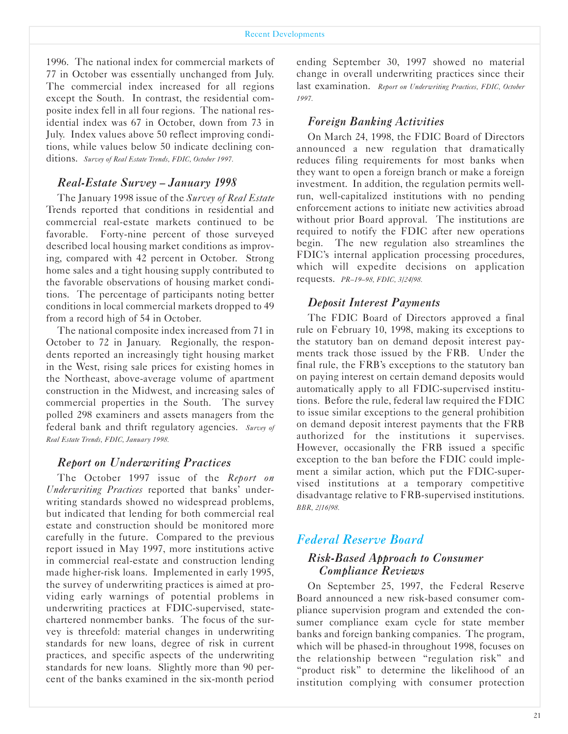1996. The national index for commercial markets of 77 in October was essentially unchanged from July. The commercial index increased for all regions except the South. In contrast, the residential composite index fell in all four regions. The national residential index was 67 in October, down from 73 in July. Index values above 50 reflect improving conditions, while values below 50 indicate declining conditions. *Survey of Real Estate Trends, FDIC, October 1997.* 

#### *Real-Estate Survey - January 1998*

The January 1998 issue of the *Survey of Real Estate* Trends reported that conditions in residential and commercial real-estate markets continued to be favorable. Forty-nine percent of those surveyed described local housing market conditions as improving, compared with 42 percent in October. Strong home sales and a tight housing supply contributed to the favorable observations of housing market conditions. The percentage of participants noting better conditions in local commercial markets dropped to 49 from a record high of 54 in October.

The national composite index increased from 71 in October to 72 in January. Regionally, the respondents reported an increasingly tight housing market in the West, rising sale prices for existing homes in the Northeast, above-average volume of apartment construction in the Midwest, and increasing sales of commercial properties in the South. The survey polled 298 examiners and assets managers from the federal bank and thrift regulatory agencies. *Survey of Real Estate Trends, FDIC, January 1998.*

#### *Report on Underwriting Practices*

The October 1997 issue of the *Report on Underwriting Practices* reported that banks' underwriting standards showed no widespread problems, but indicated that lending for both commercial real estate and construction should be monitored more carefully in the future. Compared to the previous report issued in May 1997, more institutions active in commercial real-estate and construction lending made higher-risk loans. Implemented in early 1995, the survey of underwriting practices is aimed at providing early warnings of potential problems in underwriting practices at FDIC-supervised, statechartered nonmember banks. The focus of the survey is threefold: material changes in underwriting standards for new loans, degree of risk in current practices, and specific aspects of the underwriting standards for new loans. Slightly more than 90 percent of the banks examined in the six-month period

ending September 30, 1997 showed no material change in overall underwriting practices since their last examination. Report on Underwriting Practices, FDIC, October *1997.*

#### *Foreign Banking Activities*

On March 24, 1998, the FDIC Board of Directors announced a new regulation that dramatically reduces filing requirements for most banks when they want to open a foreign branch or make a foreign investment. In addition, the regulation permits wellrun, well-capitalized institutions with no pending enforcement actions to initiate new activities abroad without prior Board approval. The institutions are required to notify the FDIC after new operations begin. The new regulation also streamlines the FDIC's internal application processing procedures, which will expedite decisions on application requests. *PR-19-98, FDIC, 3/24/98.*

#### *Deposit Interest Payments*

The FDIC Board of Directors approved a final rule on February 10, 1998, making its exceptions to the statutory ban on demand deposit interest payments track those issued by the FRB. Under the final rule, the FRB's exceptions to the statutory ban on paying interest on certain demand deposits would automatically apply to all FDIC-supervised institutions. Before the rule, federal law required the FDIC to issue similar exceptions to the general prohibition on demand deposit interest payments that the FRB authorized for the institutions it supervises. However, occasionally the FRB issued a specific exception to the ban before the FDIC could implement a similar action, which put the FDIC-supervised institutions at a temporary competitive disadvantage relative to FRB-supervised institutions. *BBR, 2/16/98.*

## *Federal Reserve Board*

#### *Risk-Based Approach to Consumer Compliance Reviews*

On September 25, 1997, the Federal Reserve Board announced a new risk-based consumer compliance supervision program and extended the consumer compliance exam cycle for state member banks and foreign banking companies. The program, which will be phased-in throughout 1998, focuses on the relationship between "regulation risk" and "product risk" to determine the likelihood of an institution complying with consumer protection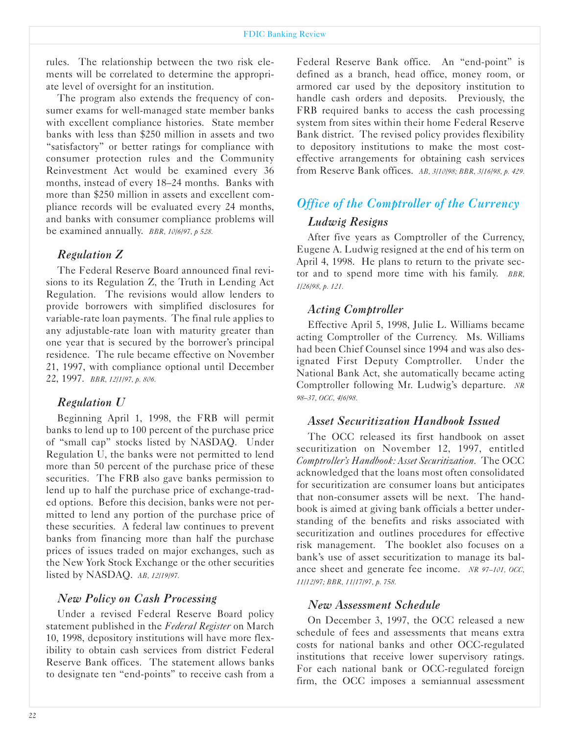rules. The relationship between the two risk elements will be correlated to determine the appropriate level of oversight for an institution.

The program also extends the frequency of consumer exams for well-managed state member banks with excellent compliance histories. State member banks with less than \$250 million in assets and two "satisfactory" or better ratings for compliance with consumer protection rules and the Community Reinvestment Act would be examined every 36 months, instead of every 18-24 months. Banks with more than \$250 million in assets and excellent compliance records will be evaluated every 24 months, and banks with consumer compliance problems will be examined annually. *BBR, 10/6/97, p 528.*

#### *Regulation Z*

The Federal Reserve Board announced final revisions to its Regulation Z, the Truth in Lending Act Regulation. The revisions would allow lenders to provide borrowers with simplified disclosures for variable-rate loan payments. The final rule applies to any adjustable-rate loan with maturity greater than one year that is secured by the borrower's principal residence. The rule became effective on November 21, 1997, with compliance optional until December 22, 1997. *BBR, 12/1/97, p. 806.*

## *Regulation U*

Beginning April 1, 1998, the FRB will permit banks to lend up to 100 percent of the purchase price of "small cap" stocks listed by NASDAQ. Under Regulation U, the banks were not permitted to lend more than 50 percent of the purchase price of these securities. The FRB also gave banks permission to lend up to half the purchase price of exchange-traded options. Before this decision, banks were not permitted to lend any portion of the purchase price of these securities. A federal law continues to prevent banks from financing more than half the purchase prices of issues traded on major exchanges, such as the New York Stock Exchange or the other securities listed by NASDAQ. *AB, 12/19/97.*

## *New Policy on Cash Processing*

Under a revised Federal Reserve Board policy statement published in the *Federal Register* on March 10, 1998, depository institutions will have more flexibility to obtain cash services from district Federal Reserve Bank offices. The statement allows banks to designate ten "end-points" to receive cash from a

Federal Reserve Bank office. An "end-point" is defined as a branch, head office, money room, or armored car used by the depository institution to handle cash orders and deposits. Previously, the FRB required banks to access the cash processing system from sites within their home Federal Reserve Bank district. The revised policy provides flexibility to depository institutions to make the most costeffective arrangements for obtaining cash services from Reserve Bank offices. *AB, 3/10/98; BBR, 3/16/98, p. 429.*

## *Office of the Comptroller of the Currency*

## *Ludwig Resigns*

After five years as Comptroller of the Currency, Eugene A. Ludwig resigned at the end of his term on April 4, 1998. He plans to return to the private sector and to spend more time with his family. *BBR, 1/26/98, p. 121.*

## *Acting Comptroller*

Effective April 5, 1998, Julie L. Williams became acting Comptroller of the Currency. Ms. Williams had been Chief Counsel since 1994 and was also designated First Deputy Comptroller. Under the National Bank Act, she automatically became acting Comptroller following Mr. Ludwig's departure. *NR 98-37, aCC, 4/6/98.*

#### *Asset Securitization Handbook Issued*

The OCC released its first handbook on asset securitization on November 12, 1997, entitled *Comptroller's Handbook: Asset Securitization.* The OCC acknowledged that the loans most often consolidated for securitization are consumer loans but anticipates that non-consumer assets will be next. The handbook is aimed at giving bank officials a better understanding of the benefits and risks associated with securitization and outlines procedures for effective risk management. The booklet also focuses on a bank's use of asset securitization to manage its balance sheet and generate fee income. *NR 97-101, aCC, 11/12/97; BBR, 11/17/97, p. 758.*

## *New Assessment Schedule*

On December 3, 1997, the OCC released a new schedule of fees and assessments that means extra costs for national banks and other OCC-regulated institutions that receive lower supervisory ratings. For each national bank or OCC-regulated foreign firm, the OCC imposes a semiannual assessment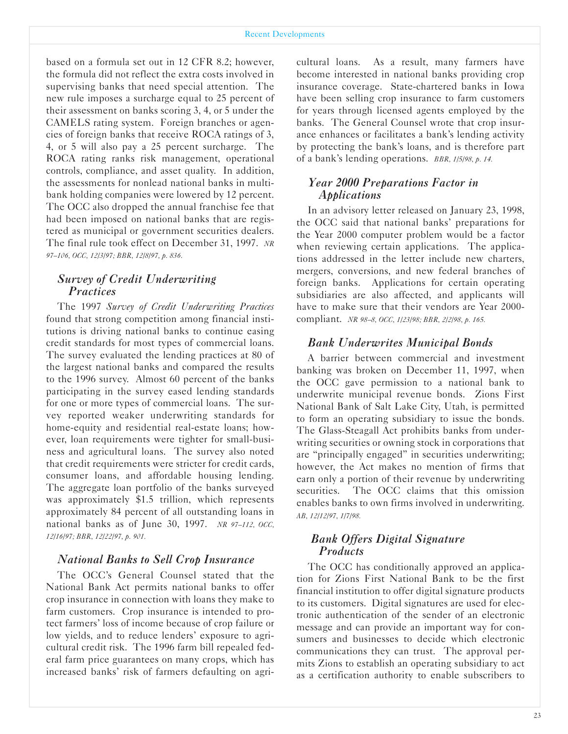based on a formula set out in 12 CFR 8.2; however, the formula did not reflect the extra costs involved in supervising banks that need special attention. The new rule imposes a surcharge equal to 25 percent of their assessment on banks scoring 3, 4, or 5 under the CAMELS rating system. Foreign branches or agencies of foreign banks that receive ROCA ratings of 3, 4, or 5 will also pay a 25 percent surcharge. The ROCA rating ranks risk management, operational controls, compliance, and asset quality. In addition, the assessments for nonlead national banks in multibank holding companies were lowered by 12 percent. The OCC also dropped the annual franchise fee that had been imposed on national banks that are registered as municipal or government securities dealers. The final rule took effect on December 31, 1997. *NR 97-106, aCC, 12/3/97; BBR, 12/8/97, p. 836.*

#### *Survey of Credit Underwriting Practices*

The 1997 *Survey of Credit Underwriting Practices* found that strong competition among financial institutions is driving national banks to continue easing credit standards for most types of commercial loans. The survey evaluated the lending practices at 80 of the largest national banks and compared the results to the 1996 survey. Almost 60 percent of the banks participating in the survey eased lending standards for one or more types of commercial loans. The survey reported weaker underwriting standards for home-equity and residential real-estate loans; however, loan requirements were tighter for small-business and agricultural loans. The survey also noted that credit requirements were stricter for credit cards, consumer loans, and affordable housing lending. The aggregate loan portfolio of the banks surveyed was approximately \$1.5 trillion, which represents approximately 84 percent of all outstanding loans in national banks as of June 30, 1997. *NR 97-112, aCC, 12/16/97; BBR, 12/22/97, p. 901.*

#### *National Banks to Sell Crop Insurance*

The OCC's General Counsel stated that the National Bank Act permits national banks to offer crop insurance in connection with loans they make to farm customers. Crop insurance is intended to protect farmers' loss of income because of crop failure or low yields, and to reduce lenders' exposure to agricultural credit risk. The 1996 farm bill repealed federal farm price guarantees on many crops, which has increased banks' risk of farmers defaulting on agricultural loans. As a result, many farmers have become interested in national banks providing crop insurance coverage. State-chartered banks in Iowa have been selling crop insurance to farm customers for years through licensed agents employed by the banks. The General Counsel wrote that crop insurance enhances or facilitates a bank's lending activity by protecting the bank's loans, and is therefore part of a bank's lending operations. *BBR, 1/5/98, p. 14.*

#### *Year 2000 Preparations Factor in Applications*

In an advisory letter released on January 23, 1998, the OCC said that national banks' preparations for the Year 2000 computer problem would be a factor when reviewing certain applications. The applications addressed in the letter include new charters, mergers, conversions, and new federal branches of foreign banks. Applications for certain operating subsidiaries are also affected, and applicants will have to make sure that their vendors are Year 2000 compliant. *NR 98-8, aCC, 1/23/98; BBR, 2/2/98, p. 165.*

#### *Bank Underwrites Municipal Bonds*

A barrier between commercial and investment banking was broken on December 11, 1997, when the OCC gave permission to a national bank to underwrite municipal revenue bonds. Zions First National Bank of Salt Lake City, Utah, is permitted to form an operating subsidiary to issue the bonds. The Glass-Steagall Act prohibits banks from underwriting securities or owning stock in corporations that are "principally engaged" in securities underwriting; however, the Act makes no mention of firms that earn only a portion of their revenue by underwriting securities. The OCC claims that this omission enables banks to own firms involved in underwriting. *AB, 12/12/97, 1/7/98.*

#### *Bank Offers Digital Signature Products*

The OCC has conditionally approved an application for Zions First National Bank to be the first financial institution to offer digital signature products to its customers. Digital signatures are used for electronic authentication of the sender of an electronic message and can provide an important way for consumers and businesses to decide which electronic communications they can trust. The approval permits Zions to establish an operating subsidiary to act as a certification authority to enable subscribers to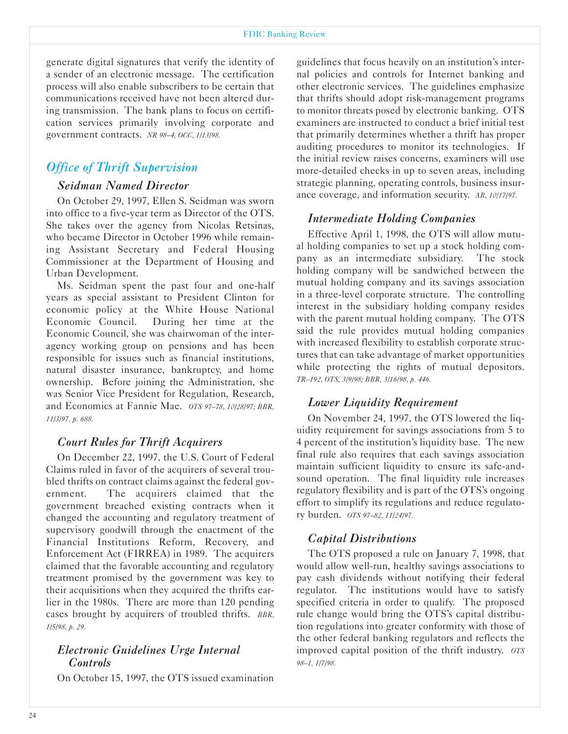generate digital signatures that verify the identity of a sender of an electronic message. The certification process will also enable subscribers to be certain that communications received have not been altered during transmission. The bank plans to focus on certification services primarily involving corporate and government contracts. *NR 98-4, aCC, 1/13/98.*

## *Office of Thrift Supervision*

#### *Seidman Named Director*

On October 29, 1997, Ellen S. Seidman was sworn into office to a five-year term as Director of the OTS. She takes over the agency from Nicolas Retsinas, who became Director in October 1996 while remaining Assistant Secretary and Federal Housing Commissioner at the Department of Housing and Urban Development.

Ms. Seidman spent the past four and one-half years as special assistant to President Clinton for economic policy at the White House National Economic Council. During her time at the Economic Council, she was chairwoman of the interagency working group on pensions and has been responsible for issues such as financial institutions, natural disaster insurance, bankruptcy, and home ownership. Before joining the Administration, she was Senior Vice President for Regulation, Research, and Economics at Fannie Mae. *aTS 97-78, 10/28/97; BBR, 11/3/97, p. 688.*

## *Court Rules for Thrift Acquirers*

On December 22, 1997, the U.S. Court of Federal Claims ruled in favor of the acquirers of several troubled thrifts on contract claims against the federal government. The acquirers claimed that the government breached existing contracts when it changed the accounting and regulatory treatment of supervisory goodwill through the enactment of the Financial Institutions Reform, Recovery, and Enforcement Act (FIRREA) in 1989. The acquirers claimed that the favorable accounting and regulatory treatment promised by the government was key to their acquisitions when they acquired the thrifts earlier in the 1980s. There are more than 120 pending cases brought by acquirers of troubled thrifts. *BBR, 1/5/98, p. 29.*

#### *Electronic �uidelines Urge Internal Controls*

On October 15, 1997, the OTS issued examination

guidelines that focus heavily on an institution's internal policies and controls for Internet banking and other electronic services. The guidelines emphasize that thrifts should adopt risk-management programs to monitor threats posed by electronic banking. OTS examiners are instructed to conduct a brief initial test that primarily determines whether a thrift has proper auditing procedures to monitor its technologies. If the initial review raises concerns, examiners will use more-detailed checks in up to seven areas, including strategic planning, operating controls, business insurance coverage, and information security. *AB, 10/17/97.*

## *Intermediate Holding Companies*

Effective April 1, 1998, the OTS will allow mutual holding companies to set up a stock holding company as an intermediate subsidiary. The stock holding company will be sandwiched between the mutual holding company and its savings association in a three-level corporate structure. The controlling interest in the subsidiary holding company resides with the parent mutual holding company. The OTS said the rule provides mutual holding companies with increased flexibility to establish corporate structures that can take advantage of market opportunities while protecting the rights of mutual depositors. *TR-192, aTS, 3/9/98; BBR, 3/16/98, p. 446.*

## *Lower Liquidity Requirement*

On November 24, 1997, the OTS lowered the liquidity requirement for savings associations from 5 to 4 percent of the institution's liquidity base. The new final rule also requires that each savings association maintain sufficient liquidity to ensure its safe-andsound operation. The final liquidity rule increases regulatory flexibility and is part of the OTS's ongoing effort to simplify its regulations and reduce regulatory burden. *aTS 97-82, 11/24/97.*

## *Capital Distributions*

The OTS proposed a rule on January 7, 1998, that would allow well-run, healthy savings associations to pay cash dividends without notifying their federal regulator. The institutions would have to satisfy specified criteria in order to qualify. The proposed rule change would bring the OTS's capital distribution regulations into greater conformity with those of the other federal banking regulators and reflects the improved capital position of the thrift industry. *aTS 98-1, 1/7/98.*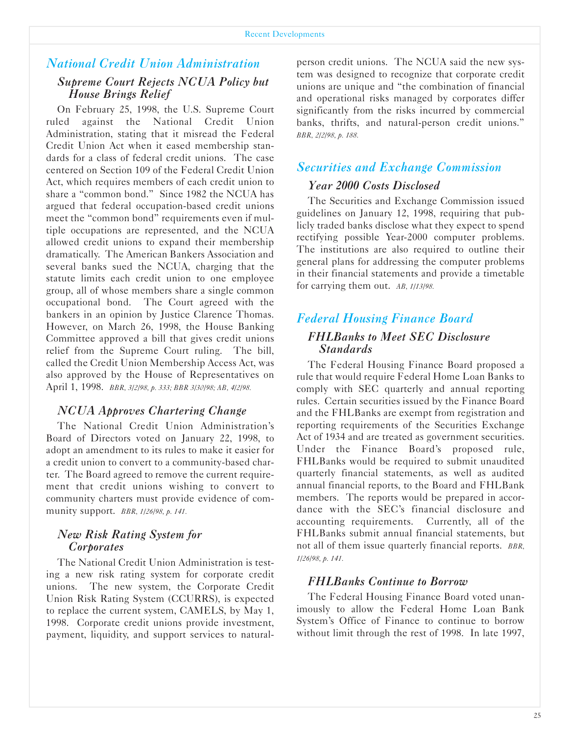## *National Credit Union Administration*

## *Supreme Court Rejects NCUA Policy but House Brings Relief*

On February 25, 1998, the U.S. Supreme Court ruled against the National Credit Union Administration, stating that it misread the Federal Credit Union Act when it eased membership standards for a class of federal credit unions. The case centered on Section 109 of the Federal Credit Union Act, which requires members of each credit union to share a "common bond." Since 1982 the NCUA has argued that federal occupation-based credit unions meet the "common bond" requirements even if multiple occupations are represented, and the NCUA allowed credit unions to expand their membership dramatically. The American Bankers Association and several banks sued the NCUA, charging that the statute limits each credit union to one employee group, all of whose members share a single common occupational bond. The Court agreed with the bankers in an opinion by Justice Clarence Thomas. However, on March 26, 1998, the House Banking Committee approved a bill that gives credit unions relief from the Supreme Court ruling. The bill, called the Credit Union Membership Access Act, was also approved by the House of Representatives on April 1, 1998. *BBR, 3/2/98, p. 333; BBR 3/30/98; AB, 4/2/98.*

#### *NCUA Approves Chartering Change*

The National Credit Union Administration's Board of Directors voted on January 22, 1998, to adopt an amendment to its rules to make it easier for a credit union to convert to a community-based charter. The Board agreed to remove the current requirement that credit unions wishing to convert to community charters must provide evidence of community support. *BBR, 1/26/98, p. 141.*

#### *New Risk Rating System for Corporates*

The National Credit Union Administration is testing a new risk rating system for corporate credit unions. The new system, the Corporate Credit Union Risk Rating System (CCURRS), is expected to replace the current system, CAMELS, by May 1, 1998. Corporate credit unions provide investment, payment, liquidity, and support services to naturalperson credit unions. The NCUA said the new system was designed to recognize that corporate credit unions are unique and "the combination of financial and operational risks managed by corporates differ significantly from the risks incurred by commercial banks, thrifts, and natural-person credit unions." *BBR, 2/2/98, p. 188.*

### *Securities and Exchange Commission*

## *Year 2000 Costs Disclosed*

The Securities and Exchange Commission issued guidelines on January 12, 1998, requiring that publicly traded banks disclose what they expect to spend rectifying possible Year-2000 computer problems. The institutions are also required to outline their general plans for addressing the computer problems in their financial statements and provide a timetable for carrying them out. *AB, 1/13/98.*

## *Federal Housing Finance Board FHLBanks to Meet SEC Disclosure Standards*

The Federal Housing Finance Board proposed a rule that would require Federal Home Loan Banks to comply with SEC quarterly and annual reporting rules. Certain securities issued by the Finance Board and the FHLBanks are exempt from registration and reporting requirements of the Securities Exchange Act of 1934 and are treated as government securities. Under the Finance Board's proposed rule, FHLBanks would be required to submit unaudited quarterly financial statements, as well as audited annual financial reports, to the Board and FHLBank members. The reports would be prepared in accordance with the SEC's financial disclosure and accounting requirements. Currently, all of the FHLBanks submit annual financial statements, but not all of them issue quarterly financial reports. *BBR, 1/26/98, p. 141.*

#### *FHLBanks Continue to Borrow*

The Federal Housing Finance Board voted unanimously to allow the Federal Home Loan Bank System's Office of Finance to continue to borrow without limit through the rest of 1998. In late 1997,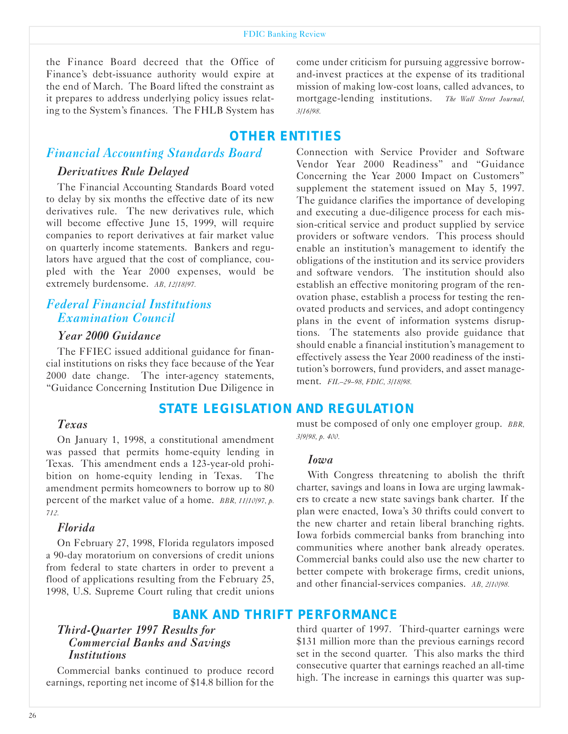the Finance Board decreed that the Office of Finance's debt-issuance authority would expire at the end of March. The Board lifted the constraint as it prepares to address underlying policy issues relating to the System's finances. The FHLB System has

## *Financial Accounting Standards Board*

#### *Derivatives Rule Delayed*

The Financial Accounting Standards Board voted to delay by six months the effective date of its new derivatives rule. The new derivatives rule, which will become effective June 15, 1999, will require companies to report derivatives at fair market value on quarterly income statements. Bankers and regulators have argued that the cost of compliance, coupled with the Year 2000 expenses, would be extremely burdensome. *AB, 12/18/97.*

## *Federal Financial Institutions Examination Council*

#### *Year 2000 �uidance*

The FFIEC issued additional guidance for financial institutions on risks they face because of the Year 2000 date change. The inter-agency statements, "Guidance Concerning Institution Due Diligence in

## *STATE LEGISLATION AND REGULATION*

#### *Texas*

On January 1, 1998, a constitutional amendment was passed that permits home-equity lending in Texas. This amendment ends a 123-year-old prohibition on home-equity lending in Texas. The amendment permits homeowners to borrow up to 80 percent of the market value of a home. *BBR, 11/10/97, p. 712.*

#### *Florida*

On February 27, 1998, Florida regulators imposed a 90-day moratorium on conversions of credit unions from federal to state charters in order to prevent a flood of applications resulting from the February 25, 1998, U.S. Supreme Court ruling that credit unions

## *BANK AND THRIFT PERFORMANCE*

## *Third-Quarter 1997 Results for Commercial Banks and Savings Institutions*

Commercial banks continued to produce record earnings, reporting net income of \$14.8 billion for the come under criticism for pursuing aggressive borrowand-invest practices at the expense of its traditional mission of making low-cost loans, called advances, to mortgagelending institutions. *The Wall Street Journal, 3/16/98.*

## *OTHER ENTITIES*

Connection with Service Provider and Software Vendor Year 2000 Readiness" and "Guidance Concerning the Year 2000 Impact on Customers" supplement the statement issued on May 5, 1997. The guidance clarifies the importance of developing and executing a due-diligence process for each mission-critical service and product supplied by service providers or software vendors. This process should enable an institution's management to identify the obligations of the institution and its service providers and software vendors. The institution should also establish an effective monitoring program of the renovation phase, establish a process for testing the renovated products and services, and adopt contingency plans in the event of information systems disruptions. The statements also provide guidance that should enable a financial institution's management to effectively assess the Year 2000 readiness of the institution's borrowers, fund providers, and asset management. *FIL-29-98, FDIC, 3/18/98.*

must be composed of only one employer group. *BBR,*

#### *Iowa*

*3/9/98, p. 400.*

With Congress threatening to abolish the thrift charter, savings and loans in Iowa are urging lawmakers to create a new state savings bank charter. If the plan were enacted, Iowa's 30 thrifts could convert to the new charter and retain liberal branching rights. Iowa forbids commercial banks from branching into communities where another bank already operates. Commercial banks could also use the new charter to better compete with brokerage firms, credit unions, and other financial-services companies. *AB, 2/10/98*.

third quarter of 1997. Third-quarter earnings were \$131 million more than the previous earnings record set in the second quarter. This also marks the third consecutive quarter that earnings reached an all-time high. The increase in earnings this quarter was sup-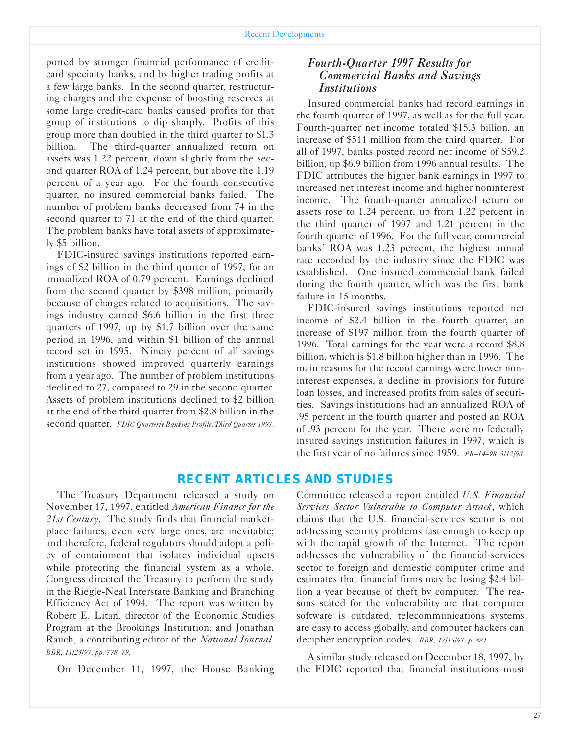ported by stronger financial performance of creditcard specialty banks, and by higher trading profits at a few large banks. In the second quarter, restructuring charges and the expense of boosting reserves at some large credit-card banks caused profits for that group of institutions to dip sharply. Profits of this group more than doubled in the third quarter to \$1.3 billion. The third-quarter annualized return on assets was 1.22 percent, down slightly from the second quarter ROA of 1.24 percent, but above the 1.19 percent of a year ago. For the fourth consecutive quarter, no insured commercial banks failed. The number of problem banks decreased from 74 in the second quarter to 71 at the end of the third quarter. The problem banks have total assets of approximately \$5 billion.

FDIC-insured savings institutions reported earnings of \$2 billion in the third quarter of 1997, for an annualized ROA of 0.79 percent. Earnings declined from the second quarter by \$398 million, primarily because of charges related to acquisitions. The savings industry earned \$6.6 billion in the first three quarters of 1997, up by \$1.7 billion over the same period in 1996, and within \$1 billion of the annual record set in 1995. Ninety percent of all savings institutions showed improved quarterly earnings from a year ago. The number of problem institutions declined to 27, compared to 29 in the second quarter. Assets of problem institutions declined to \$2 billion at the end of the third quarter from \$2.8 billion in the second quarter. *FDIC Quarterly Banking Profile, Third Quarter 1997.*

#### *Fourth-Quarter 1997 Results for Commercial Banks and Savings Institutions*

Insured commercial banks had record earnings in the fourth quarter of 1997, as well as for the full year. Fourth-quarter net income totaled \$15.3 billion, an increase of \$511 million from the third quarter. For all of 1997, banks posted record net income of \$59.2 billion, up \$6.9 billion from 1996 annual results. The FDIC attributes the higher bank earnings in 1997 to increased net interest income and higher noninterest income. The fourth-quarter annualized return on assets rose to 1.24 percent, up from 1.22 percent in the third quarter of 1997 and 1.21 percent in the fourth quarter of 1996. For the full year, commercial banks' ROA was 1.23 percent, the highest annual rate recorded by the industry since the FDIC was established. One insured commercial bank failed during the fourth quarter, which was the first bank failure in 15 months.

FDIC-insured savings institutions reported net income of \$2.4 billion in the fourth quarter, an increase of \$197 million from the fourth quarter of 1996. Total earnings for the year were a record \$8.8 billion, which is \$1.8 billion higher than in 1996. The main reasons for the record earnings were lower noninterest expenses, a decline in provisions for future loan losses, and increased profits from sales of securities. Savings institutions had an annualized ROA of .95 percent in the fourth quarter and posted an ROA of .93 percent for the year. There were no federally insured savings institution failures in 1997, which is the first year of no failures since 1959. *PR-14-98, 3/12/98.*

## *RECENT ARTICLES AND STUDIES*

The Treasury Department released a study on November 17, 1997, entitled *American Finance for the 21st Century*. The study finds that financial marketplace failures, even very large ones, are inevitable; and therefore, federal regulators should adopt a policy of containment that isolates individual upsets while protecting the financial system as a whole. Congress directed the Treasury to perform the study in the Riegle-Neal Interstate Banking and Branching Efficiency Act of 1994. The report was written by Robert E. Litan, director of the Economic Studies Program at the Brookings Institution, and Jonathan Rauch, a contributing editor of the *National Journal*. *BBR, 11/24/97, pp. 778-79.*

On December 11, 1997, the House Banking

Committee released a report entitled *U.S. Financial Services Sector Vulnerable to Computer Attack*, which claims that the U.S. financial-services sector is not addressing security problems fast enough to keep up with the rapid growth of the Internet. The report addresses the vulnerability of the financial-services sector to foreign and domestic computer crime and estimates that financial firms may be losing \$2.4 billion a year because of theft by computer. The reasons stated for the vulnerability are that computer software is outdated, telecommunications systems are easy to access globally, and computer hackers can decipher encryption codes. *BBR, 12/15/97, p. 881.*

A similar study released on December 18, 1997, by the FDIC reported that financial institutions must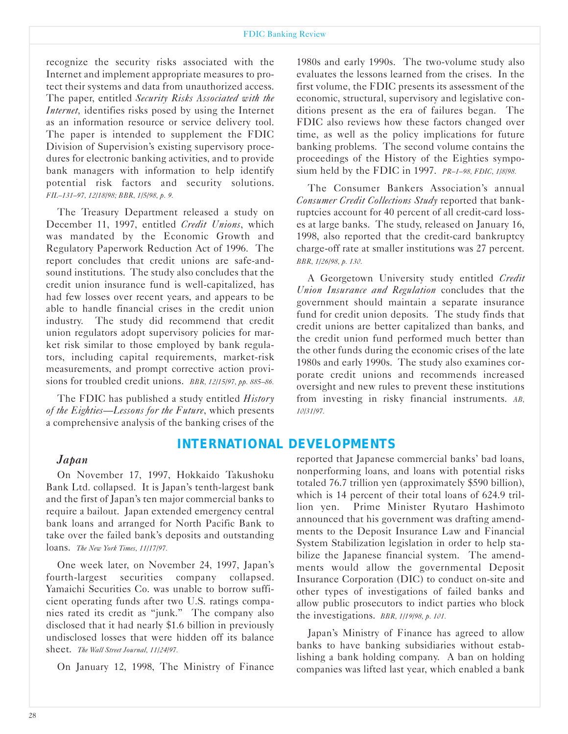#### FDIC Banking Review

recognize the security risks associated with the Internet and implement appropriate measures to protect their systems and data from unauthorized access. The paper, entitled *Security Risks Associated with the Internet,* identifies risks posed by using the Internet as an information resource or service delivery tool. The paper is intended to supplement the FDIC Division of Supervision's existing supervisory procedures for electronic banking activities, and to provide bank managers with information to help identify potential risk factors and security solutions. *FIL-131-97, 12/18/98; BBR, 1/5/98, p. 9.*

The Treasury Department released a study on December 11, 1997, entitled *Credit Unions*, which was mandated by the Economic Growth and Regulatory Paperwork Reduction Act of 1996. The report concludes that credit unions are safe-andsound institutions. The study also concludes that the credit union insurance fund is well-capitalized, has had few losses over recent years, and appears to be able to handle financial crises in the credit union industry. The study did recommend that credit union regulators adopt supervisory policies for market risk similar to those employed by bank regulators, including capital requirements, market-risk measurements, and prompt corrective action provisions for troubled credit unions. *BBR, 12/15/97, pp. 885-86.*

The FDIC has published a study entitled *History of the Eighties-Lessons for the Future*, which presents a comprehensive analysis of the banking crises of the

## *INTERNATIONAL DEVELOPMENTS*

#### *Japan*

On November 17, 1997, Hokkaido Takushoku Bank Ltd. collapsed. It is Japan's tenth-largest bank and the first of Japan's ten major commercial banks to require a bailout. Japan extended emergency central bank loans and arranged for North Pacific Bank to take over the failed bank's deposits and outstanding loans. *The New York Times, 11/17/97.*

One week later, on November 24, 1997, Japan's fourth-largest securities company collapsed. Yamaichi Securities Co. was unable to borrow sufficient operating funds after two U.S. ratings companies rated its credit as "junk." The company also disclosed that it had nearly \$1.6 billion in previously undisclosed losses that were hidden off its balance sheet. *The Wall Street Journal, 11/24/97.*

On January 12, 1998, The Ministry of Finance

1980s and early 1990s. The two-volume study also evaluates the lessons learned from the crises. In the first volume, the FDIC presents its assessment of the economic, structural, supervisory and legislative conditions present as the era of failures began. The FDIC also reviews how these factors changed over time, as well as the policy implications for future banking problems. The second volume contains the proceedings of the History of the Eighties symposium held by the FDIC in 1997. *PR-1-98, FDIC, 1/8/98.*

The Consumer Bankers Association's annual *Consumer Credit Collections Study* reported that bankruptcies account for 40 percent of all credit-card losses at large banks. The study, released on January 16, 1998, also reported that the credit-card bankruptcy charge-off rate at smaller institutions was 27 percent. *BBR, 1/26/98, p. 130.*

A Georgetown University study entitled *Credit Union Insurance and Regulation* concludes that the government should maintain a separate insurance fund for credit union deposits. The study finds that credit unions are better capitalized than banks, and the credit union fund performed much better than the other funds during the economic crises of the late 1980s and early 1990s. The study also examines corporate credit unions and recommends increased oversight and new rules to prevent these institutions from investing in risky financial instruments. *AB, 10/31/97.*

reported that Japanese commercial banks' bad loans, nonperforming loans, and loans with potential risks totaled 76.7 trillion yen (approximately \$590 billion), which is 14 percent of their total loans of 624.9 trillion yen. Prime Minister Ryutaro Hashimoto announced that his government was drafting amendments to the Deposit Insurance Law and Financial System Stabilization legislation in order to help stabilize the Japanese financial system. The amendments would allow the governmental Deposit Insurance Corporation (DIC) to conduct on-site and other types of investigations of failed banks and allow public prosecutors to indict parties who block the investigations. *BBR, 1/19/98, p. 101.*

Japan's Ministry of Finance has agreed to allow banks to have banking subsidiaries without establishing a bank holding company. A ban on holding companies was lifted last year, which enabled a bank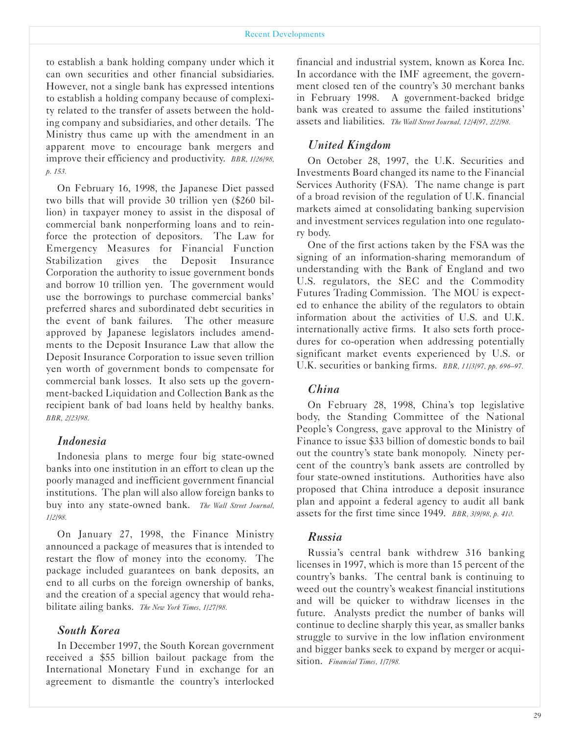#### Recent Developments

to establish a bank holding company under which it can own securities and other financial subsidiaries. However, not a single bank has expressed intentions to establish a holding company because of complexity related to the transfer of assets between the holding company and subsidiaries, and other details. The Ministry thus came up with the amendment in an apparent move to encourage bank mergers and improve their efficiency and productivity. *BBR, 1/26/98, p. 153.*

On February 16, 1998, the Japanese Diet passed two bills that will provide 30 trillion yen (\$260 billion) in taxpayer money to assist in the disposal of commercial bank nonperforming loans and to reinforce the protection of depositors. The Law for Emergency Measures for Financial Function Stabilization gives the Deposit Insurance Corporation the authority to issue government bonds and borrow 10 trillion yen. The government would use the borrowings to purchase commercial banks' preferred shares and subordinated debt securities in the event of bank failures. The other measure approved by Japanese legislators includes amendments to the Deposit Insurance Law that allow the Deposit Insurance Corporation to issue seven trillion yen worth of government bonds to compensate for commercial bank losses. It also sets up the government-backed Liquidation and Collection Bank as the recipient bank of bad loans held by healthy banks. *BBR, 2/23/98.*

#### *Indonesia*

Indonesia plans to merge four big state-owned banks into one institution in an effort to clean up the poorly managed and inefficient government financial institutions. The plan will also allow foreign banks to buy into any state-owned bank. The Wall Street Journal, *1/2/98.*

On January 27, 1998, the Finance Ministry announced a package of measures that is intended to restart the flow of money into the economy. The package included guarantees on bank deposits, an end to all curbs on the foreign ownership of banks, and the creation of a special agency that would rehabilitate ailing banks. *The New York Times, 1/27/98.*

#### *South Korea*

In December 1997, the South Korean government received a \$55 billion bailout package from the International Monetary Fund in exchange for an agreement to dismantle the country's interlocked

financial and industrial system, known as Korea Inc. In accordance with the IMF agreement, the government closed ten of the country's 30 merchant banks in February 1998. A government-backed bridge bank was created to assume the failed institutions' assets and liabilities. *The Wall Street Journal, 12/4/97, 2/2/98.*

#### *United �ingdom*

On October 28, 1997, the U.K. Securities and Investments Board changed its name to the Financial Services Authority (FSA). The name change is part of a broad revision of the regulation of U.K. financial markets aimed at consolidating banking supervision and investment services regulation into one regulatory body.

One of the first actions taken by the FSA was the signing of an information-sharing memorandum of understanding with the Bank of England and two U.S. regulators, the SEC and the Commodity Futures Trading Commission. The MOU is expected to enhance the ability of the regulators to obtain information about the activities of U.S. and U.K. internationally active firms. It also sets forth procedures for co-operation when addressing potentially significant market events experienced by U.S. or U.K. securities or banking firms. *BBR, 11/3/97, pp. 696-97.*

#### *China*

On February 28, 1998, China's top legislative body, the Standing Committee of the National People's Congress, gave approval to the Ministry of Finance to issue \$33 billion of domestic bonds to bail out the country's state bank monopoly. Ninety percent of the country's bank assets are controlled by four state-owned institutions. Authorities have also proposed that China introduce a deposit insurance plan and appoint a federal agency to audit all bank assets for the first time since 1949. *BBR, 3/9/98, p. 410.*

#### *Russia*

Russia's central bank withdrew 316 banking licenses in 1997, which is more than 15 percent of the country's banks. The central bank is continuing to weed out the country's weakest financial institutions and will be quicker to withdraw licenses in the future. Analysts predict the number of banks will continue to decline sharply this year, as smaller banks struggle to survive in the low inflation environment and bigger banks seek to expand by merger or acquisition. *Financial Times, 1/7/98.*